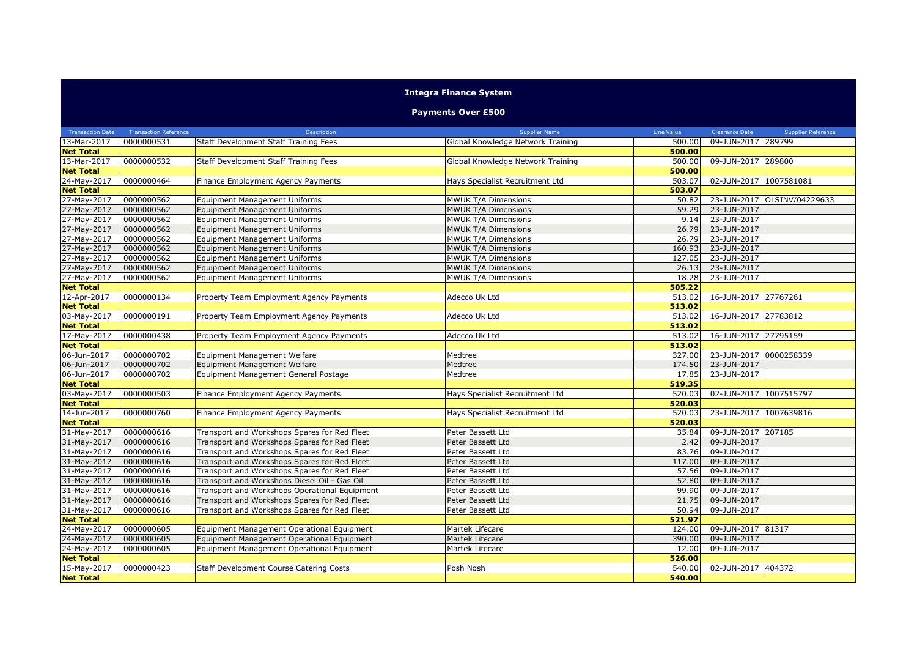## **Integra Finance System**

## **Payments Over £500**

| <b>Transaction Date</b> | <b>Transaction Reference</b> | Description                                   | <b>Supplier Name</b>              | Line Value | <b>Clearance Date</b>  | <b>Supplier Reference</b>   |
|-------------------------|------------------------------|-----------------------------------------------|-----------------------------------|------------|------------------------|-----------------------------|
| 13-Mar-2017             | 0000000531                   | Staff Development Staff Training Fees         | Global Knowledge Network Training | 500.00     | 09-JUN-2017 289799     |                             |
| <b>Net Total</b>        |                              |                                               |                                   | 500.00     |                        |                             |
| 13-Mar-2017             | 0000000532                   | Staff Development Staff Training Fees         | Global Knowledge Network Training | 500.00     | 09-JUN-2017 289800     |                             |
| <b>Net Total</b>        |                              |                                               |                                   | 500.00     |                        |                             |
| 24-May-2017             | 0000000464                   | Finance Employment Agency Payments            | Hays Specialist Recruitment Ltd   | 503.07     | 02-JUN-2017            | 1007581081                  |
| <b>Net Total</b>        |                              |                                               |                                   | 503.07     |                        |                             |
| 27-May-2017             | 0000000562                   | <b>Equipment Management Uniforms</b>          | MWUK T/A Dimensions               | 50.82      |                        | 23-JUN-2017 OLSINV/04229633 |
| 27-May-2017             | 0000000562                   | Equipment Management Uniforms                 | MWUK T/A Dimensions               | 59.29      | 23-JUN-2017            |                             |
| 27-May-2017             | 0000000562                   | <b>Equipment Management Uniforms</b>          | MWUK T/A Dimensions               | 9.14       | 23-JUN-2017            |                             |
| 27-May-2017             | 0000000562                   | Equipment Management Uniforms                 | MWUK T/A Dimensions               | 26.79      | 23-JUN-2017            |                             |
| 27-May-2017             | 0000000562                   | <b>Equipment Management Uniforms</b>          | MWUK T/A Dimensions               | 26.79      | 23-JUN-2017            |                             |
| 27-May-2017             | 0000000562                   | <b>Equipment Management Uniforms</b>          | MWUK T/A Dimensions               | 160.93     | 23-JUN-2017            |                             |
| 27-May-2017             | 0000000562                   | <b>Equipment Management Uniforms</b>          | MWUK T/A Dimensions               | 127.05     | 23-JUN-2017            |                             |
| 27-May-2017             | 0000000562                   | <b>Equipment Management Uniforms</b>          | MWUK T/A Dimensions               | 26.13      | 23-JUN-2017            |                             |
| 27-May-2017             | 0000000562                   | <b>Equipment Management Uniforms</b>          | MWUK T/A Dimensions               | 18.28      | 23-JUN-2017            |                             |
| <b>Net Total</b>        |                              |                                               |                                   | 505.22     |                        |                             |
| 12-Apr-2017             | 0000000134                   | Property Team Employment Agency Payments      | Adecco Uk Ltd                     | 513.02     | 16-JUN-2017 27767261   |                             |
| <b>Net Total</b>        |                              |                                               |                                   | 513.02     |                        |                             |
| 03-May-2017             | 0000000191                   | Property Team Employment Agency Payments      | Adecco Uk Ltd                     | 513.02     | 16-JUN-2017 27783812   |                             |
| <b>Net Total</b>        |                              |                                               |                                   | 513.02     |                        |                             |
| 17-May-2017             | 0000000438                   | Property Team Employment Agency Payments      | Adecco Uk Ltd                     | 513.02     | 16-JUN-2017 27795159   |                             |
| <b>Net Total</b>        |                              |                                               |                                   | 513.02     |                        |                             |
| 06-Jun-2017             | 0000000702                   | Equipment Management Welfare                  | Medtree                           | 327.00     | 23-JUN-2017 0000258339 |                             |
| 06-Jun-2017             | 0000000702                   | Equipment Management Welfare                  | Medtree                           | 174.50     | 23-JUN-2017            |                             |
| 06-Jun-2017             | 0000000702                   | Equipment Management General Postage          | Medtree                           | 17.85      | 23-JUN-2017            |                             |
| <b>Net Total</b>        |                              |                                               |                                   | 519.35     |                        |                             |
| 03-May-2017             | 0000000503                   | Finance Employment Agency Payments            | Hays Specialist Recruitment Ltd   | 520.03     | 02-JUN-2017 1007515797 |                             |
| <b>Net Total</b>        |                              |                                               |                                   | 520.03     |                        |                             |
| 14-Jun-2017             | 0000000760                   | Finance Employment Agency Payments            | Hays Specialist Recruitment Ltd   | 520.03     | 23-JUN-2017 1007639816 |                             |
| <b>Net Total</b>        |                              |                                               |                                   | 520.03     |                        |                             |
| 31-May-2017             | 0000000616                   | Transport and Workshops Spares for Red Fleet  | Peter Bassett Ltd                 | 35.84      | 09-JUN-2017 207185     |                             |
| 31-May-2017             | 0000000616                   | Transport and Workshops Spares for Red Fleet  | Peter Bassett Ltd                 | 2.42       | 09-JUN-2017            |                             |
| 31-May-2017             | 0000000616                   | Transport and Workshops Spares for Red Fleet  | Peter Bassett Ltd                 | 83.76      | 09-JUN-2017            |                             |
| 31-May-2017             | 0000000616                   | Transport and Workshops Spares for Red Fleet  | Peter Bassett Ltd                 | 117.00     | 09-JUN-2017            |                             |
| 31-May-2017             | 0000000616                   | Transport and Workshops Spares for Red Fleet  | Peter Bassett Ltd                 | 57.56      | 09-JUN-2017            |                             |
| 31-May-2017             | 0000000616                   | Transport and Workshops Diesel Oil - Gas Oil  | Peter Bassett Ltd                 | 52.80      | 09-JUN-2017            |                             |
| 31-May-2017             | 0000000616                   | Transport and Workshops Operational Equipment | Peter Bassett Ltd                 | 99.90      | 09-JUN-2017            |                             |
| 31-May-2017             | 0000000616                   | Transport and Workshops Spares for Red Fleet  | Peter Bassett Ltd                 | 21.75      | 09-JUN-2017            |                             |
| 31-May-2017             | 0000000616                   | Transport and Workshops Spares for Red Fleet  | Peter Bassett Ltd                 | 50.94      | 09-JUN-2017            |                             |
| <b>Net Total</b>        |                              |                                               |                                   | 521.97     |                        |                             |
| 24-May-2017             | 0000000605                   | Equipment Management Operational Equipment    | Martek Lifecare                   | 124.00     | 09-JUN-2017 81317      |                             |
| 24-May-2017             | 0000000605                   | Equipment Management Operational Equipment    | Martek Lifecare                   | 390.00     | 09-JUN-2017            |                             |
| 24-May-2017             | 0000000605                   | Equipment Management Operational Equipment    | Martek Lifecare                   | 12.00      | 09-JUN-2017            |                             |
| <b>Net Total</b>        |                              |                                               |                                   | 526.00     |                        |                             |
| 15-May-2017             | 0000000423                   | Staff Development Course Catering Costs       | Posh Nosh                         | 540.00     | 02-JUN-2017 404372     |                             |
| <b>Net Total</b>        |                              |                                               |                                   | 540.00     |                        |                             |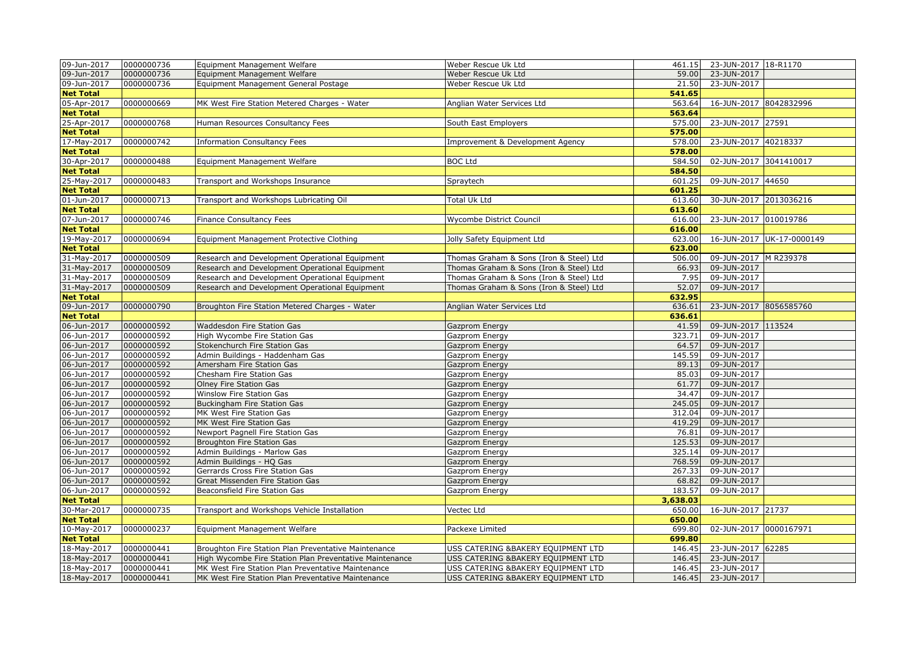| 0000000736<br>Weber Rescue Uk Ltd<br>59.00 23-JUN-2017<br>Equipment Management Welfare<br>09-Jun-2017<br>0000000736<br>Equipment Management General Postage<br>Weber Rescue Uk Ltd<br>21.50<br>23-JUN-2017<br><b>Net Total</b><br>541.65<br>05-Apr-2017<br>0000000669<br>MK West Fire Station Metered Charges - Water<br>16-JUN-2017 8042832996<br>Anglian Water Services Ltd<br>563.64<br><b>Net Total</b><br>563.64<br>25-Apr-2017<br>575.00<br>23-JUN-2017 27591<br>0000000768<br>Human Resources Consultancy Fees<br>South East Employers<br>575.00<br><b>Net Total</b><br>0000000742<br>578.00<br>23-JUN-2017 40218337<br>17-May-2017<br><b>Information Consultancy Fees</b><br>Improvement & Development Agency<br><b>Net Total</b><br>578.00<br>30-Apr-2017<br>0000000488<br><b>BOC Ltd</b><br>584.50<br>02-JUN-2017 3041410017<br>Equipment Management Welfare<br><b>Net Total</b><br>584.50<br>09-JUN-2017 44650<br>25-May-2017<br>0000000483<br>601.25<br>Transport and Workshops Insurance<br>Spraytech<br>601.25<br><b>Net Total</b><br>01-Jun-2017<br>613.60<br>30-JUN-2017 2013036216<br>0000000713<br>Transport and Workshops Lubricating Oil<br>Total Uk Ltd<br><b>Net Total</b><br>613.60<br>23-JUN-2017 010019786<br>07-Jun-2017<br>0000000746<br>616.00<br>Finance Consultancy Fees<br>Wycombe District Council<br>616.00<br><b>Net Total</b><br>19-May-2017<br>0000000694<br>623.00<br>16-JUN-2017 UK-17-0000149<br>Equipment Management Protective Clothing<br>Jolly Safety Equipment Ltd<br><b>Net Total</b><br>623.00<br>31-May-2017<br>0000000509<br>Research and Development Operational Equipment<br>Thomas Graham & Sons (Iron & Steel) Ltd<br>506.00<br>09-JUN-2017 M R239378<br>31-May-2017<br>0000000509<br>66.93<br>Research and Development Operational Equipment<br>Thomas Graham & Sons (Iron & Steel) Ltd<br>09-JUN-2017<br>31-May-2017<br>0000000509<br>Research and Development Operational Equipment<br>Thomas Graham & Sons (Iron & Steel) Ltd<br>7.95<br>09-JUN-2017<br>31-May-2017<br>0000000509<br>52.07<br>09-JUN-2017<br>Research and Development Operational Equipment<br>Thomas Graham & Sons (Iron & Steel) Ltd<br><b>Net Total</b><br>632.95<br>09-Jun-2017<br>0000000790<br>23-JUN-2017 8056585760<br>Broughton Fire Station Metered Charges - Water<br>Anglian Water Services Ltd<br>636.61<br>636.61<br><b>Net Total</b><br>06-Jun-2017<br>0000000592<br>41.59<br>09-JUN-2017 113524<br>Waddesdon Fire Station Gas<br>Gazprom Energy<br>06-Jun-2017<br>0000000592<br>323.71<br>High Wycombe Fire Station Gas<br>09-JUN-2017<br>Gazprom Energy<br>06-Jun-2017<br>0000000592<br>Stokenchurch Fire Station Gas<br>64.57<br>09-JUN-2017<br>Gazprom Energy<br>06-Jun-2017<br>0000000592<br>145.59<br>09-JUN-2017<br>Admin Buildings - Haddenham Gas<br>Gazprom Energy<br>06-Jun-2017<br>0000000592<br>Amersham Fire Station Gas<br>89.13<br>09-JUN-2017<br>Gazprom Energy<br>06-Jun-2017<br>0000000592<br>85.03<br>09-JUN-2017<br>Chesham Fire Station Gas<br>Gazprom Energy<br>06-Jun-2017<br>0000000592<br>Olney Fire Station Gas<br>61.77<br>09-JUN-2017<br>Gazprom Energy<br>06-Jun-2017<br>0000000592<br>34.47<br>09-JUN-2017<br>Winslow Fire Station Gas<br>Gazprom Energy<br>0000000592<br>06-Jun-2017<br>Buckingham Fire Station Gas<br>245.05<br>09-JUN-2017<br>Gazprom Energy<br>0000000592<br>06-Jun-2017<br>312.04<br>09-JUN-2017<br>MK West Fire Station Gas<br>Gazprom Energy<br>06-Jun-2017<br>0000000592<br>419.29<br>MK West Fire Station Gas<br>Gazprom Energy<br>09-JUN-2017<br>06-Jun-2017<br>0000000592<br>09-JUN-2017<br>Newport Pagnell Fire Station Gas<br>76.81<br>Gazprom Energy<br>06-Jun-2017<br>0000000592<br>125.53<br>Broughton Fire Station Gas<br>09-JUN-2017<br>Gazprom Energy<br>0000000592<br>325.14<br>06-Jun-2017<br>Admin Buildings - Marlow Gas<br>09-JUN-2017<br>Gazprom Energy<br>06-Jun-2017<br>0000000592<br>Admin Buildings - HQ Gas<br>768.59<br>09-JUN-2017<br>Gazprom Energy<br>06-Jun-2017<br>0000000592<br>Gerrards Cross Fire Station Gas<br>267.33<br>09-JUN-2017<br>Gazprom Energy<br>06-Jun-2017<br>0000000592<br>Great Missenden Fire Station Gas<br>09-JUN-2017<br>Gazprom Energy<br>68.82<br>0000000592<br>183.57<br>06-Jun-2017<br>Beaconsfield Fire Station Gas<br>09-JUN-2017<br>Gazprom Energy<br><b>Net Total</b><br>3,638,03<br>0000000735<br>16-JUN-2017 21737<br>30-Mar-2017<br>Transport and Workshops Vehicle Installation<br>Vectec Ltd<br>650.00<br>650.00<br><b>Net Total</b><br>699.80<br>02-JUN-2017 0000167971<br>10-May-2017<br>0000000237<br>Equipment Management Welfare<br>Packexe Limited<br><b>Net Total</b><br>699.80<br>18-May-2017<br>0000000441<br>USS CATERING &BAKERY EQUIPMENT LTD<br>146.45<br>23-JUN-2017 62285<br>Broughton Fire Station Plan Preventative Maintenance<br>18-May-2017<br>0000000441<br>USS CATERING &BAKERY EQUIPMENT LTD<br>23-JUN-2017<br>High Wycombe Fire Station Plan Preventative Maintenance<br>146.45<br>18-May-2017<br>0000000441<br>USS CATERING &BAKERY EQUIPMENT LTD<br>MK West Fire Station Plan Preventative Maintenance<br>146.45<br>23-JUN-2017<br>18-May-2017<br>0000000441<br>MK West Fire Station Plan Preventative Maintenance<br>USS CATERING &BAKERY EQUIPMENT LTD<br>146.45<br>23-JUN-2017 | 09-Jun-2017 | 0000000736 | Equipment Management Welfare | Weber Rescue Uk Ltd | 461.15 23-JUN-2017 18-R1170 |  |
|--------------------------------------------------------------------------------------------------------------------------------------------------------------------------------------------------------------------------------------------------------------------------------------------------------------------------------------------------------------------------------------------------------------------------------------------------------------------------------------------------------------------------------------------------------------------------------------------------------------------------------------------------------------------------------------------------------------------------------------------------------------------------------------------------------------------------------------------------------------------------------------------------------------------------------------------------------------------------------------------------------------------------------------------------------------------------------------------------------------------------------------------------------------------------------------------------------------------------------------------------------------------------------------------------------------------------------------------------------------------------------------------------------------------------------------------------------------------------------------------------------------------------------------------------------------------------------------------------------------------------------------------------------------------------------------------------------------------------------------------------------------------------------------------------------------------------------------------------------------------------------------------------------------------------------------------------------------------------------------------------------------------------------------------------------------------------------------------------------------------------------------------------------------------------------------------------------------------------------------------------------------------------------------------------------------------------------------------------------------------------------------------------------------------------------------------------------------------------------------------------------------------------------------------------------------------------------------------------------------------------------------------------------------------------------------------------------------------------------------------------------------------------------------------------------------------------------------------------------------------------------------------------------------------------------------------------------------------------------------------------------------------------------------------------------------------------------------------------------------------------------------------------------------------------------------------------------------------------------------------------------------------------------------------------------------------------------------------------------------------------------------------------------------------------------------------------------------------------------------------------------------------------------------------------------------------------------------------------------------------------------------------------------------------------------------------------------------------------------------------------------------------------------------------------------------------------------------------------------------------------------------------------------------------------------------------------------------------------------------------------------------------------------------------------------------------------------------------------------------------------------------------------------------------------------------------------------------------------------------------------------------------------------------------------------------------------------------------------------------------------------------------------------------------------------------------------------------------------------------------------------------------------------------------------------------------------------------------------------------------------------------------------------------------------------------------------------------------------------------------------------------------------------------------------------------------------------------------------------------------------------------------------------------------------------------------------------------------------------------------------------------------------------------------------------------------------------------------------------------------------------------------------------------------------------------------------------------------------------------------------------------------------|-------------|------------|------------------------------|---------------------|-----------------------------|--|
|                                                                                                                                                                                                                                                                                                                                                                                                                                                                                                                                                                                                                                                                                                                                                                                                                                                                                                                                                                                                                                                                                                                                                                                                                                                                                                                                                                                                                                                                                                                                                                                                                                                                                                                                                                                                                                                                                                                                                                                                                                                                                                                                                                                                                                                                                                                                                                                                                                                                                                                                                                                                                                                                                                                                                                                                                                                                                                                                                                                                                                                                                                                                                                                                                                                                                                                                                                                                                                                                                                                                                                                                                                                                                                                                                                                                                                                                                                                                                                                                                                                                                                                                                                                                                                                                                                                                                                                                                                                                                                                                                                                                                                                                                                                                                                                                                                                                                                                                                                                                                                                                                                                                                                                                                                                                          | 09-Jun-2017 |            |                              |                     |                             |  |
|                                                                                                                                                                                                                                                                                                                                                                                                                                                                                                                                                                                                                                                                                                                                                                                                                                                                                                                                                                                                                                                                                                                                                                                                                                                                                                                                                                                                                                                                                                                                                                                                                                                                                                                                                                                                                                                                                                                                                                                                                                                                                                                                                                                                                                                                                                                                                                                                                                                                                                                                                                                                                                                                                                                                                                                                                                                                                                                                                                                                                                                                                                                                                                                                                                                                                                                                                                                                                                                                                                                                                                                                                                                                                                                                                                                                                                                                                                                                                                                                                                                                                                                                                                                                                                                                                                                                                                                                                                                                                                                                                                                                                                                                                                                                                                                                                                                                                                                                                                                                                                                                                                                                                                                                                                                                          |             |            |                              |                     |                             |  |
|                                                                                                                                                                                                                                                                                                                                                                                                                                                                                                                                                                                                                                                                                                                                                                                                                                                                                                                                                                                                                                                                                                                                                                                                                                                                                                                                                                                                                                                                                                                                                                                                                                                                                                                                                                                                                                                                                                                                                                                                                                                                                                                                                                                                                                                                                                                                                                                                                                                                                                                                                                                                                                                                                                                                                                                                                                                                                                                                                                                                                                                                                                                                                                                                                                                                                                                                                                                                                                                                                                                                                                                                                                                                                                                                                                                                                                                                                                                                                                                                                                                                                                                                                                                                                                                                                                                                                                                                                                                                                                                                                                                                                                                                                                                                                                                                                                                                                                                                                                                                                                                                                                                                                                                                                                                                          |             |            |                              |                     |                             |  |
|                                                                                                                                                                                                                                                                                                                                                                                                                                                                                                                                                                                                                                                                                                                                                                                                                                                                                                                                                                                                                                                                                                                                                                                                                                                                                                                                                                                                                                                                                                                                                                                                                                                                                                                                                                                                                                                                                                                                                                                                                                                                                                                                                                                                                                                                                                                                                                                                                                                                                                                                                                                                                                                                                                                                                                                                                                                                                                                                                                                                                                                                                                                                                                                                                                                                                                                                                                                                                                                                                                                                                                                                                                                                                                                                                                                                                                                                                                                                                                                                                                                                                                                                                                                                                                                                                                                                                                                                                                                                                                                                                                                                                                                                                                                                                                                                                                                                                                                                                                                                                                                                                                                                                                                                                                                                          |             |            |                              |                     |                             |  |
|                                                                                                                                                                                                                                                                                                                                                                                                                                                                                                                                                                                                                                                                                                                                                                                                                                                                                                                                                                                                                                                                                                                                                                                                                                                                                                                                                                                                                                                                                                                                                                                                                                                                                                                                                                                                                                                                                                                                                                                                                                                                                                                                                                                                                                                                                                                                                                                                                                                                                                                                                                                                                                                                                                                                                                                                                                                                                                                                                                                                                                                                                                                                                                                                                                                                                                                                                                                                                                                                                                                                                                                                                                                                                                                                                                                                                                                                                                                                                                                                                                                                                                                                                                                                                                                                                                                                                                                                                                                                                                                                                                                                                                                                                                                                                                                                                                                                                                                                                                                                                                                                                                                                                                                                                                                                          |             |            |                              |                     |                             |  |
|                                                                                                                                                                                                                                                                                                                                                                                                                                                                                                                                                                                                                                                                                                                                                                                                                                                                                                                                                                                                                                                                                                                                                                                                                                                                                                                                                                                                                                                                                                                                                                                                                                                                                                                                                                                                                                                                                                                                                                                                                                                                                                                                                                                                                                                                                                                                                                                                                                                                                                                                                                                                                                                                                                                                                                                                                                                                                                                                                                                                                                                                                                                                                                                                                                                                                                                                                                                                                                                                                                                                                                                                                                                                                                                                                                                                                                                                                                                                                                                                                                                                                                                                                                                                                                                                                                                                                                                                                                                                                                                                                                                                                                                                                                                                                                                                                                                                                                                                                                                                                                                                                                                                                                                                                                                                          |             |            |                              |                     |                             |  |
|                                                                                                                                                                                                                                                                                                                                                                                                                                                                                                                                                                                                                                                                                                                                                                                                                                                                                                                                                                                                                                                                                                                                                                                                                                                                                                                                                                                                                                                                                                                                                                                                                                                                                                                                                                                                                                                                                                                                                                                                                                                                                                                                                                                                                                                                                                                                                                                                                                                                                                                                                                                                                                                                                                                                                                                                                                                                                                                                                                                                                                                                                                                                                                                                                                                                                                                                                                                                                                                                                                                                                                                                                                                                                                                                                                                                                                                                                                                                                                                                                                                                                                                                                                                                                                                                                                                                                                                                                                                                                                                                                                                                                                                                                                                                                                                                                                                                                                                                                                                                                                                                                                                                                                                                                                                                          |             |            |                              |                     |                             |  |
|                                                                                                                                                                                                                                                                                                                                                                                                                                                                                                                                                                                                                                                                                                                                                                                                                                                                                                                                                                                                                                                                                                                                                                                                                                                                                                                                                                                                                                                                                                                                                                                                                                                                                                                                                                                                                                                                                                                                                                                                                                                                                                                                                                                                                                                                                                                                                                                                                                                                                                                                                                                                                                                                                                                                                                                                                                                                                                                                                                                                                                                                                                                                                                                                                                                                                                                                                                                                                                                                                                                                                                                                                                                                                                                                                                                                                                                                                                                                                                                                                                                                                                                                                                                                                                                                                                                                                                                                                                                                                                                                                                                                                                                                                                                                                                                                                                                                                                                                                                                                                                                                                                                                                                                                                                                                          |             |            |                              |                     |                             |  |
|                                                                                                                                                                                                                                                                                                                                                                                                                                                                                                                                                                                                                                                                                                                                                                                                                                                                                                                                                                                                                                                                                                                                                                                                                                                                                                                                                                                                                                                                                                                                                                                                                                                                                                                                                                                                                                                                                                                                                                                                                                                                                                                                                                                                                                                                                                                                                                                                                                                                                                                                                                                                                                                                                                                                                                                                                                                                                                                                                                                                                                                                                                                                                                                                                                                                                                                                                                                                                                                                                                                                                                                                                                                                                                                                                                                                                                                                                                                                                                                                                                                                                                                                                                                                                                                                                                                                                                                                                                                                                                                                                                                                                                                                                                                                                                                                                                                                                                                                                                                                                                                                                                                                                                                                                                                                          |             |            |                              |                     |                             |  |
|                                                                                                                                                                                                                                                                                                                                                                                                                                                                                                                                                                                                                                                                                                                                                                                                                                                                                                                                                                                                                                                                                                                                                                                                                                                                                                                                                                                                                                                                                                                                                                                                                                                                                                                                                                                                                                                                                                                                                                                                                                                                                                                                                                                                                                                                                                                                                                                                                                                                                                                                                                                                                                                                                                                                                                                                                                                                                                                                                                                                                                                                                                                                                                                                                                                                                                                                                                                                                                                                                                                                                                                                                                                                                                                                                                                                                                                                                                                                                                                                                                                                                                                                                                                                                                                                                                                                                                                                                                                                                                                                                                                                                                                                                                                                                                                                                                                                                                                                                                                                                                                                                                                                                                                                                                                                          |             |            |                              |                     |                             |  |
|                                                                                                                                                                                                                                                                                                                                                                                                                                                                                                                                                                                                                                                                                                                                                                                                                                                                                                                                                                                                                                                                                                                                                                                                                                                                                                                                                                                                                                                                                                                                                                                                                                                                                                                                                                                                                                                                                                                                                                                                                                                                                                                                                                                                                                                                                                                                                                                                                                                                                                                                                                                                                                                                                                                                                                                                                                                                                                                                                                                                                                                                                                                                                                                                                                                                                                                                                                                                                                                                                                                                                                                                                                                                                                                                                                                                                                                                                                                                                                                                                                                                                                                                                                                                                                                                                                                                                                                                                                                                                                                                                                                                                                                                                                                                                                                                                                                                                                                                                                                                                                                                                                                                                                                                                                                                          |             |            |                              |                     |                             |  |
|                                                                                                                                                                                                                                                                                                                                                                                                                                                                                                                                                                                                                                                                                                                                                                                                                                                                                                                                                                                                                                                                                                                                                                                                                                                                                                                                                                                                                                                                                                                                                                                                                                                                                                                                                                                                                                                                                                                                                                                                                                                                                                                                                                                                                                                                                                                                                                                                                                                                                                                                                                                                                                                                                                                                                                                                                                                                                                                                                                                                                                                                                                                                                                                                                                                                                                                                                                                                                                                                                                                                                                                                                                                                                                                                                                                                                                                                                                                                                                                                                                                                                                                                                                                                                                                                                                                                                                                                                                                                                                                                                                                                                                                                                                                                                                                                                                                                                                                                                                                                                                                                                                                                                                                                                                                                          |             |            |                              |                     |                             |  |
|                                                                                                                                                                                                                                                                                                                                                                                                                                                                                                                                                                                                                                                                                                                                                                                                                                                                                                                                                                                                                                                                                                                                                                                                                                                                                                                                                                                                                                                                                                                                                                                                                                                                                                                                                                                                                                                                                                                                                                                                                                                                                                                                                                                                                                                                                                                                                                                                                                                                                                                                                                                                                                                                                                                                                                                                                                                                                                                                                                                                                                                                                                                                                                                                                                                                                                                                                                                                                                                                                                                                                                                                                                                                                                                                                                                                                                                                                                                                                                                                                                                                                                                                                                                                                                                                                                                                                                                                                                                                                                                                                                                                                                                                                                                                                                                                                                                                                                                                                                                                                                                                                                                                                                                                                                                                          |             |            |                              |                     |                             |  |
|                                                                                                                                                                                                                                                                                                                                                                                                                                                                                                                                                                                                                                                                                                                                                                                                                                                                                                                                                                                                                                                                                                                                                                                                                                                                                                                                                                                                                                                                                                                                                                                                                                                                                                                                                                                                                                                                                                                                                                                                                                                                                                                                                                                                                                                                                                                                                                                                                                                                                                                                                                                                                                                                                                                                                                                                                                                                                                                                                                                                                                                                                                                                                                                                                                                                                                                                                                                                                                                                                                                                                                                                                                                                                                                                                                                                                                                                                                                                                                                                                                                                                                                                                                                                                                                                                                                                                                                                                                                                                                                                                                                                                                                                                                                                                                                                                                                                                                                                                                                                                                                                                                                                                                                                                                                                          |             |            |                              |                     |                             |  |
|                                                                                                                                                                                                                                                                                                                                                                                                                                                                                                                                                                                                                                                                                                                                                                                                                                                                                                                                                                                                                                                                                                                                                                                                                                                                                                                                                                                                                                                                                                                                                                                                                                                                                                                                                                                                                                                                                                                                                                                                                                                                                                                                                                                                                                                                                                                                                                                                                                                                                                                                                                                                                                                                                                                                                                                                                                                                                                                                                                                                                                                                                                                                                                                                                                                                                                                                                                                                                                                                                                                                                                                                                                                                                                                                                                                                                                                                                                                                                                                                                                                                                                                                                                                                                                                                                                                                                                                                                                                                                                                                                                                                                                                                                                                                                                                                                                                                                                                                                                                                                                                                                                                                                                                                                                                                          |             |            |                              |                     |                             |  |
|                                                                                                                                                                                                                                                                                                                                                                                                                                                                                                                                                                                                                                                                                                                                                                                                                                                                                                                                                                                                                                                                                                                                                                                                                                                                                                                                                                                                                                                                                                                                                                                                                                                                                                                                                                                                                                                                                                                                                                                                                                                                                                                                                                                                                                                                                                                                                                                                                                                                                                                                                                                                                                                                                                                                                                                                                                                                                                                                                                                                                                                                                                                                                                                                                                                                                                                                                                                                                                                                                                                                                                                                                                                                                                                                                                                                                                                                                                                                                                                                                                                                                                                                                                                                                                                                                                                                                                                                                                                                                                                                                                                                                                                                                                                                                                                                                                                                                                                                                                                                                                                                                                                                                                                                                                                                          |             |            |                              |                     |                             |  |
|                                                                                                                                                                                                                                                                                                                                                                                                                                                                                                                                                                                                                                                                                                                                                                                                                                                                                                                                                                                                                                                                                                                                                                                                                                                                                                                                                                                                                                                                                                                                                                                                                                                                                                                                                                                                                                                                                                                                                                                                                                                                                                                                                                                                                                                                                                                                                                                                                                                                                                                                                                                                                                                                                                                                                                                                                                                                                                                                                                                                                                                                                                                                                                                                                                                                                                                                                                                                                                                                                                                                                                                                                                                                                                                                                                                                                                                                                                                                                                                                                                                                                                                                                                                                                                                                                                                                                                                                                                                                                                                                                                                                                                                                                                                                                                                                                                                                                                                                                                                                                                                                                                                                                                                                                                                                          |             |            |                              |                     |                             |  |
|                                                                                                                                                                                                                                                                                                                                                                                                                                                                                                                                                                                                                                                                                                                                                                                                                                                                                                                                                                                                                                                                                                                                                                                                                                                                                                                                                                                                                                                                                                                                                                                                                                                                                                                                                                                                                                                                                                                                                                                                                                                                                                                                                                                                                                                                                                                                                                                                                                                                                                                                                                                                                                                                                                                                                                                                                                                                                                                                                                                                                                                                                                                                                                                                                                                                                                                                                                                                                                                                                                                                                                                                                                                                                                                                                                                                                                                                                                                                                                                                                                                                                                                                                                                                                                                                                                                                                                                                                                                                                                                                                                                                                                                                                                                                                                                                                                                                                                                                                                                                                                                                                                                                                                                                                                                                          |             |            |                              |                     |                             |  |
|                                                                                                                                                                                                                                                                                                                                                                                                                                                                                                                                                                                                                                                                                                                                                                                                                                                                                                                                                                                                                                                                                                                                                                                                                                                                                                                                                                                                                                                                                                                                                                                                                                                                                                                                                                                                                                                                                                                                                                                                                                                                                                                                                                                                                                                                                                                                                                                                                                                                                                                                                                                                                                                                                                                                                                                                                                                                                                                                                                                                                                                                                                                                                                                                                                                                                                                                                                                                                                                                                                                                                                                                                                                                                                                                                                                                                                                                                                                                                                                                                                                                                                                                                                                                                                                                                                                                                                                                                                                                                                                                                                                                                                                                                                                                                                                                                                                                                                                                                                                                                                                                                                                                                                                                                                                                          |             |            |                              |                     |                             |  |
|                                                                                                                                                                                                                                                                                                                                                                                                                                                                                                                                                                                                                                                                                                                                                                                                                                                                                                                                                                                                                                                                                                                                                                                                                                                                                                                                                                                                                                                                                                                                                                                                                                                                                                                                                                                                                                                                                                                                                                                                                                                                                                                                                                                                                                                                                                                                                                                                                                                                                                                                                                                                                                                                                                                                                                                                                                                                                                                                                                                                                                                                                                                                                                                                                                                                                                                                                                                                                                                                                                                                                                                                                                                                                                                                                                                                                                                                                                                                                                                                                                                                                                                                                                                                                                                                                                                                                                                                                                                                                                                                                                                                                                                                                                                                                                                                                                                                                                                                                                                                                                                                                                                                                                                                                                                                          |             |            |                              |                     |                             |  |
|                                                                                                                                                                                                                                                                                                                                                                                                                                                                                                                                                                                                                                                                                                                                                                                                                                                                                                                                                                                                                                                                                                                                                                                                                                                                                                                                                                                                                                                                                                                                                                                                                                                                                                                                                                                                                                                                                                                                                                                                                                                                                                                                                                                                                                                                                                                                                                                                                                                                                                                                                                                                                                                                                                                                                                                                                                                                                                                                                                                                                                                                                                                                                                                                                                                                                                                                                                                                                                                                                                                                                                                                                                                                                                                                                                                                                                                                                                                                                                                                                                                                                                                                                                                                                                                                                                                                                                                                                                                                                                                                                                                                                                                                                                                                                                                                                                                                                                                                                                                                                                                                                                                                                                                                                                                                          |             |            |                              |                     |                             |  |
|                                                                                                                                                                                                                                                                                                                                                                                                                                                                                                                                                                                                                                                                                                                                                                                                                                                                                                                                                                                                                                                                                                                                                                                                                                                                                                                                                                                                                                                                                                                                                                                                                                                                                                                                                                                                                                                                                                                                                                                                                                                                                                                                                                                                                                                                                                                                                                                                                                                                                                                                                                                                                                                                                                                                                                                                                                                                                                                                                                                                                                                                                                                                                                                                                                                                                                                                                                                                                                                                                                                                                                                                                                                                                                                                                                                                                                                                                                                                                                                                                                                                                                                                                                                                                                                                                                                                                                                                                                                                                                                                                                                                                                                                                                                                                                                                                                                                                                                                                                                                                                                                                                                                                                                                                                                                          |             |            |                              |                     |                             |  |
|                                                                                                                                                                                                                                                                                                                                                                                                                                                                                                                                                                                                                                                                                                                                                                                                                                                                                                                                                                                                                                                                                                                                                                                                                                                                                                                                                                                                                                                                                                                                                                                                                                                                                                                                                                                                                                                                                                                                                                                                                                                                                                                                                                                                                                                                                                                                                                                                                                                                                                                                                                                                                                                                                                                                                                                                                                                                                                                                                                                                                                                                                                                                                                                                                                                                                                                                                                                                                                                                                                                                                                                                                                                                                                                                                                                                                                                                                                                                                                                                                                                                                                                                                                                                                                                                                                                                                                                                                                                                                                                                                                                                                                                                                                                                                                                                                                                                                                                                                                                                                                                                                                                                                                                                                                                                          |             |            |                              |                     |                             |  |
|                                                                                                                                                                                                                                                                                                                                                                                                                                                                                                                                                                                                                                                                                                                                                                                                                                                                                                                                                                                                                                                                                                                                                                                                                                                                                                                                                                                                                                                                                                                                                                                                                                                                                                                                                                                                                                                                                                                                                                                                                                                                                                                                                                                                                                                                                                                                                                                                                                                                                                                                                                                                                                                                                                                                                                                                                                                                                                                                                                                                                                                                                                                                                                                                                                                                                                                                                                                                                                                                                                                                                                                                                                                                                                                                                                                                                                                                                                                                                                                                                                                                                                                                                                                                                                                                                                                                                                                                                                                                                                                                                                                                                                                                                                                                                                                                                                                                                                                                                                                                                                                                                                                                                                                                                                                                          |             |            |                              |                     |                             |  |
|                                                                                                                                                                                                                                                                                                                                                                                                                                                                                                                                                                                                                                                                                                                                                                                                                                                                                                                                                                                                                                                                                                                                                                                                                                                                                                                                                                                                                                                                                                                                                                                                                                                                                                                                                                                                                                                                                                                                                                                                                                                                                                                                                                                                                                                                                                                                                                                                                                                                                                                                                                                                                                                                                                                                                                                                                                                                                                                                                                                                                                                                                                                                                                                                                                                                                                                                                                                                                                                                                                                                                                                                                                                                                                                                                                                                                                                                                                                                                                                                                                                                                                                                                                                                                                                                                                                                                                                                                                                                                                                                                                                                                                                                                                                                                                                                                                                                                                                                                                                                                                                                                                                                                                                                                                                                          |             |            |                              |                     |                             |  |
|                                                                                                                                                                                                                                                                                                                                                                                                                                                                                                                                                                                                                                                                                                                                                                                                                                                                                                                                                                                                                                                                                                                                                                                                                                                                                                                                                                                                                                                                                                                                                                                                                                                                                                                                                                                                                                                                                                                                                                                                                                                                                                                                                                                                                                                                                                                                                                                                                                                                                                                                                                                                                                                                                                                                                                                                                                                                                                                                                                                                                                                                                                                                                                                                                                                                                                                                                                                                                                                                                                                                                                                                                                                                                                                                                                                                                                                                                                                                                                                                                                                                                                                                                                                                                                                                                                                                                                                                                                                                                                                                                                                                                                                                                                                                                                                                                                                                                                                                                                                                                                                                                                                                                                                                                                                                          |             |            |                              |                     |                             |  |
|                                                                                                                                                                                                                                                                                                                                                                                                                                                                                                                                                                                                                                                                                                                                                                                                                                                                                                                                                                                                                                                                                                                                                                                                                                                                                                                                                                                                                                                                                                                                                                                                                                                                                                                                                                                                                                                                                                                                                                                                                                                                                                                                                                                                                                                                                                                                                                                                                                                                                                                                                                                                                                                                                                                                                                                                                                                                                                                                                                                                                                                                                                                                                                                                                                                                                                                                                                                                                                                                                                                                                                                                                                                                                                                                                                                                                                                                                                                                                                                                                                                                                                                                                                                                                                                                                                                                                                                                                                                                                                                                                                                                                                                                                                                                                                                                                                                                                                                                                                                                                                                                                                                                                                                                                                                                          |             |            |                              |                     |                             |  |
|                                                                                                                                                                                                                                                                                                                                                                                                                                                                                                                                                                                                                                                                                                                                                                                                                                                                                                                                                                                                                                                                                                                                                                                                                                                                                                                                                                                                                                                                                                                                                                                                                                                                                                                                                                                                                                                                                                                                                                                                                                                                                                                                                                                                                                                                                                                                                                                                                                                                                                                                                                                                                                                                                                                                                                                                                                                                                                                                                                                                                                                                                                                                                                                                                                                                                                                                                                                                                                                                                                                                                                                                                                                                                                                                                                                                                                                                                                                                                                                                                                                                                                                                                                                                                                                                                                                                                                                                                                                                                                                                                                                                                                                                                                                                                                                                                                                                                                                                                                                                                                                                                                                                                                                                                                                                          |             |            |                              |                     |                             |  |
|                                                                                                                                                                                                                                                                                                                                                                                                                                                                                                                                                                                                                                                                                                                                                                                                                                                                                                                                                                                                                                                                                                                                                                                                                                                                                                                                                                                                                                                                                                                                                                                                                                                                                                                                                                                                                                                                                                                                                                                                                                                                                                                                                                                                                                                                                                                                                                                                                                                                                                                                                                                                                                                                                                                                                                                                                                                                                                                                                                                                                                                                                                                                                                                                                                                                                                                                                                                                                                                                                                                                                                                                                                                                                                                                                                                                                                                                                                                                                                                                                                                                                                                                                                                                                                                                                                                                                                                                                                                                                                                                                                                                                                                                                                                                                                                                                                                                                                                                                                                                                                                                                                                                                                                                                                                                          |             |            |                              |                     |                             |  |
|                                                                                                                                                                                                                                                                                                                                                                                                                                                                                                                                                                                                                                                                                                                                                                                                                                                                                                                                                                                                                                                                                                                                                                                                                                                                                                                                                                                                                                                                                                                                                                                                                                                                                                                                                                                                                                                                                                                                                                                                                                                                                                                                                                                                                                                                                                                                                                                                                                                                                                                                                                                                                                                                                                                                                                                                                                                                                                                                                                                                                                                                                                                                                                                                                                                                                                                                                                                                                                                                                                                                                                                                                                                                                                                                                                                                                                                                                                                                                                                                                                                                                                                                                                                                                                                                                                                                                                                                                                                                                                                                                                                                                                                                                                                                                                                                                                                                                                                                                                                                                                                                                                                                                                                                                                                                          |             |            |                              |                     |                             |  |
|                                                                                                                                                                                                                                                                                                                                                                                                                                                                                                                                                                                                                                                                                                                                                                                                                                                                                                                                                                                                                                                                                                                                                                                                                                                                                                                                                                                                                                                                                                                                                                                                                                                                                                                                                                                                                                                                                                                                                                                                                                                                                                                                                                                                                                                                                                                                                                                                                                                                                                                                                                                                                                                                                                                                                                                                                                                                                                                                                                                                                                                                                                                                                                                                                                                                                                                                                                                                                                                                                                                                                                                                                                                                                                                                                                                                                                                                                                                                                                                                                                                                                                                                                                                                                                                                                                                                                                                                                                                                                                                                                                                                                                                                                                                                                                                                                                                                                                                                                                                                                                                                                                                                                                                                                                                                          |             |            |                              |                     |                             |  |
|                                                                                                                                                                                                                                                                                                                                                                                                                                                                                                                                                                                                                                                                                                                                                                                                                                                                                                                                                                                                                                                                                                                                                                                                                                                                                                                                                                                                                                                                                                                                                                                                                                                                                                                                                                                                                                                                                                                                                                                                                                                                                                                                                                                                                                                                                                                                                                                                                                                                                                                                                                                                                                                                                                                                                                                                                                                                                                                                                                                                                                                                                                                                                                                                                                                                                                                                                                                                                                                                                                                                                                                                                                                                                                                                                                                                                                                                                                                                                                                                                                                                                                                                                                                                                                                                                                                                                                                                                                                                                                                                                                                                                                                                                                                                                                                                                                                                                                                                                                                                                                                                                                                                                                                                                                                                          |             |            |                              |                     |                             |  |
|                                                                                                                                                                                                                                                                                                                                                                                                                                                                                                                                                                                                                                                                                                                                                                                                                                                                                                                                                                                                                                                                                                                                                                                                                                                                                                                                                                                                                                                                                                                                                                                                                                                                                                                                                                                                                                                                                                                                                                                                                                                                                                                                                                                                                                                                                                                                                                                                                                                                                                                                                                                                                                                                                                                                                                                                                                                                                                                                                                                                                                                                                                                                                                                                                                                                                                                                                                                                                                                                                                                                                                                                                                                                                                                                                                                                                                                                                                                                                                                                                                                                                                                                                                                                                                                                                                                                                                                                                                                                                                                                                                                                                                                                                                                                                                                                                                                                                                                                                                                                                                                                                                                                                                                                                                                                          |             |            |                              |                     |                             |  |
|                                                                                                                                                                                                                                                                                                                                                                                                                                                                                                                                                                                                                                                                                                                                                                                                                                                                                                                                                                                                                                                                                                                                                                                                                                                                                                                                                                                                                                                                                                                                                                                                                                                                                                                                                                                                                                                                                                                                                                                                                                                                                                                                                                                                                                                                                                                                                                                                                                                                                                                                                                                                                                                                                                                                                                                                                                                                                                                                                                                                                                                                                                                                                                                                                                                                                                                                                                                                                                                                                                                                                                                                                                                                                                                                                                                                                                                                                                                                                                                                                                                                                                                                                                                                                                                                                                                                                                                                                                                                                                                                                                                                                                                                                                                                                                                                                                                                                                                                                                                                                                                                                                                                                                                                                                                                          |             |            |                              |                     |                             |  |
|                                                                                                                                                                                                                                                                                                                                                                                                                                                                                                                                                                                                                                                                                                                                                                                                                                                                                                                                                                                                                                                                                                                                                                                                                                                                                                                                                                                                                                                                                                                                                                                                                                                                                                                                                                                                                                                                                                                                                                                                                                                                                                                                                                                                                                                                                                                                                                                                                                                                                                                                                                                                                                                                                                                                                                                                                                                                                                                                                                                                                                                                                                                                                                                                                                                                                                                                                                                                                                                                                                                                                                                                                                                                                                                                                                                                                                                                                                                                                                                                                                                                                                                                                                                                                                                                                                                                                                                                                                                                                                                                                                                                                                                                                                                                                                                                                                                                                                                                                                                                                                                                                                                                                                                                                                                                          |             |            |                              |                     |                             |  |
|                                                                                                                                                                                                                                                                                                                                                                                                                                                                                                                                                                                                                                                                                                                                                                                                                                                                                                                                                                                                                                                                                                                                                                                                                                                                                                                                                                                                                                                                                                                                                                                                                                                                                                                                                                                                                                                                                                                                                                                                                                                                                                                                                                                                                                                                                                                                                                                                                                                                                                                                                                                                                                                                                                                                                                                                                                                                                                                                                                                                                                                                                                                                                                                                                                                                                                                                                                                                                                                                                                                                                                                                                                                                                                                                                                                                                                                                                                                                                                                                                                                                                                                                                                                                                                                                                                                                                                                                                                                                                                                                                                                                                                                                                                                                                                                                                                                                                                                                                                                                                                                                                                                                                                                                                                                                          |             |            |                              |                     |                             |  |
|                                                                                                                                                                                                                                                                                                                                                                                                                                                                                                                                                                                                                                                                                                                                                                                                                                                                                                                                                                                                                                                                                                                                                                                                                                                                                                                                                                                                                                                                                                                                                                                                                                                                                                                                                                                                                                                                                                                                                                                                                                                                                                                                                                                                                                                                                                                                                                                                                                                                                                                                                                                                                                                                                                                                                                                                                                                                                                                                                                                                                                                                                                                                                                                                                                                                                                                                                                                                                                                                                                                                                                                                                                                                                                                                                                                                                                                                                                                                                                                                                                                                                                                                                                                                                                                                                                                                                                                                                                                                                                                                                                                                                                                                                                                                                                                                                                                                                                                                                                                                                                                                                                                                                                                                                                                                          |             |            |                              |                     |                             |  |
|                                                                                                                                                                                                                                                                                                                                                                                                                                                                                                                                                                                                                                                                                                                                                                                                                                                                                                                                                                                                                                                                                                                                                                                                                                                                                                                                                                                                                                                                                                                                                                                                                                                                                                                                                                                                                                                                                                                                                                                                                                                                                                                                                                                                                                                                                                                                                                                                                                                                                                                                                                                                                                                                                                                                                                                                                                                                                                                                                                                                                                                                                                                                                                                                                                                                                                                                                                                                                                                                                                                                                                                                                                                                                                                                                                                                                                                                                                                                                                                                                                                                                                                                                                                                                                                                                                                                                                                                                                                                                                                                                                                                                                                                                                                                                                                                                                                                                                                                                                                                                                                                                                                                                                                                                                                                          |             |            |                              |                     |                             |  |
|                                                                                                                                                                                                                                                                                                                                                                                                                                                                                                                                                                                                                                                                                                                                                                                                                                                                                                                                                                                                                                                                                                                                                                                                                                                                                                                                                                                                                                                                                                                                                                                                                                                                                                                                                                                                                                                                                                                                                                                                                                                                                                                                                                                                                                                                                                                                                                                                                                                                                                                                                                                                                                                                                                                                                                                                                                                                                                                                                                                                                                                                                                                                                                                                                                                                                                                                                                                                                                                                                                                                                                                                                                                                                                                                                                                                                                                                                                                                                                                                                                                                                                                                                                                                                                                                                                                                                                                                                                                                                                                                                                                                                                                                                                                                                                                                                                                                                                                                                                                                                                                                                                                                                                                                                                                                          |             |            |                              |                     |                             |  |
|                                                                                                                                                                                                                                                                                                                                                                                                                                                                                                                                                                                                                                                                                                                                                                                                                                                                                                                                                                                                                                                                                                                                                                                                                                                                                                                                                                                                                                                                                                                                                                                                                                                                                                                                                                                                                                                                                                                                                                                                                                                                                                                                                                                                                                                                                                                                                                                                                                                                                                                                                                                                                                                                                                                                                                                                                                                                                                                                                                                                                                                                                                                                                                                                                                                                                                                                                                                                                                                                                                                                                                                                                                                                                                                                                                                                                                                                                                                                                                                                                                                                                                                                                                                                                                                                                                                                                                                                                                                                                                                                                                                                                                                                                                                                                                                                                                                                                                                                                                                                                                                                                                                                                                                                                                                                          |             |            |                              |                     |                             |  |
|                                                                                                                                                                                                                                                                                                                                                                                                                                                                                                                                                                                                                                                                                                                                                                                                                                                                                                                                                                                                                                                                                                                                                                                                                                                                                                                                                                                                                                                                                                                                                                                                                                                                                                                                                                                                                                                                                                                                                                                                                                                                                                                                                                                                                                                                                                                                                                                                                                                                                                                                                                                                                                                                                                                                                                                                                                                                                                                                                                                                                                                                                                                                                                                                                                                                                                                                                                                                                                                                                                                                                                                                                                                                                                                                                                                                                                                                                                                                                                                                                                                                                                                                                                                                                                                                                                                                                                                                                                                                                                                                                                                                                                                                                                                                                                                                                                                                                                                                                                                                                                                                                                                                                                                                                                                                          |             |            |                              |                     |                             |  |
|                                                                                                                                                                                                                                                                                                                                                                                                                                                                                                                                                                                                                                                                                                                                                                                                                                                                                                                                                                                                                                                                                                                                                                                                                                                                                                                                                                                                                                                                                                                                                                                                                                                                                                                                                                                                                                                                                                                                                                                                                                                                                                                                                                                                                                                                                                                                                                                                                                                                                                                                                                                                                                                                                                                                                                                                                                                                                                                                                                                                                                                                                                                                                                                                                                                                                                                                                                                                                                                                                                                                                                                                                                                                                                                                                                                                                                                                                                                                                                                                                                                                                                                                                                                                                                                                                                                                                                                                                                                                                                                                                                                                                                                                                                                                                                                                                                                                                                                                                                                                                                                                                                                                                                                                                                                                          |             |            |                              |                     |                             |  |
|                                                                                                                                                                                                                                                                                                                                                                                                                                                                                                                                                                                                                                                                                                                                                                                                                                                                                                                                                                                                                                                                                                                                                                                                                                                                                                                                                                                                                                                                                                                                                                                                                                                                                                                                                                                                                                                                                                                                                                                                                                                                                                                                                                                                                                                                                                                                                                                                                                                                                                                                                                                                                                                                                                                                                                                                                                                                                                                                                                                                                                                                                                                                                                                                                                                                                                                                                                                                                                                                                                                                                                                                                                                                                                                                                                                                                                                                                                                                                                                                                                                                                                                                                                                                                                                                                                                                                                                                                                                                                                                                                                                                                                                                                                                                                                                                                                                                                                                                                                                                                                                                                                                                                                                                                                                                          |             |            |                              |                     |                             |  |
|                                                                                                                                                                                                                                                                                                                                                                                                                                                                                                                                                                                                                                                                                                                                                                                                                                                                                                                                                                                                                                                                                                                                                                                                                                                                                                                                                                                                                                                                                                                                                                                                                                                                                                                                                                                                                                                                                                                                                                                                                                                                                                                                                                                                                                                                                                                                                                                                                                                                                                                                                                                                                                                                                                                                                                                                                                                                                                                                                                                                                                                                                                                                                                                                                                                                                                                                                                                                                                                                                                                                                                                                                                                                                                                                                                                                                                                                                                                                                                                                                                                                                                                                                                                                                                                                                                                                                                                                                                                                                                                                                                                                                                                                                                                                                                                                                                                                                                                                                                                                                                                                                                                                                                                                                                                                          |             |            |                              |                     |                             |  |
|                                                                                                                                                                                                                                                                                                                                                                                                                                                                                                                                                                                                                                                                                                                                                                                                                                                                                                                                                                                                                                                                                                                                                                                                                                                                                                                                                                                                                                                                                                                                                                                                                                                                                                                                                                                                                                                                                                                                                                                                                                                                                                                                                                                                                                                                                                                                                                                                                                                                                                                                                                                                                                                                                                                                                                                                                                                                                                                                                                                                                                                                                                                                                                                                                                                                                                                                                                                                                                                                                                                                                                                                                                                                                                                                                                                                                                                                                                                                                                                                                                                                                                                                                                                                                                                                                                                                                                                                                                                                                                                                                                                                                                                                                                                                                                                                                                                                                                                                                                                                                                                                                                                                                                                                                                                                          |             |            |                              |                     |                             |  |
|                                                                                                                                                                                                                                                                                                                                                                                                                                                                                                                                                                                                                                                                                                                                                                                                                                                                                                                                                                                                                                                                                                                                                                                                                                                                                                                                                                                                                                                                                                                                                                                                                                                                                                                                                                                                                                                                                                                                                                                                                                                                                                                                                                                                                                                                                                                                                                                                                                                                                                                                                                                                                                                                                                                                                                                                                                                                                                                                                                                                                                                                                                                                                                                                                                                                                                                                                                                                                                                                                                                                                                                                                                                                                                                                                                                                                                                                                                                                                                                                                                                                                                                                                                                                                                                                                                                                                                                                                                                                                                                                                                                                                                                                                                                                                                                                                                                                                                                                                                                                                                                                                                                                                                                                                                                                          |             |            |                              |                     |                             |  |
|                                                                                                                                                                                                                                                                                                                                                                                                                                                                                                                                                                                                                                                                                                                                                                                                                                                                                                                                                                                                                                                                                                                                                                                                                                                                                                                                                                                                                                                                                                                                                                                                                                                                                                                                                                                                                                                                                                                                                                                                                                                                                                                                                                                                                                                                                                                                                                                                                                                                                                                                                                                                                                                                                                                                                                                                                                                                                                                                                                                                                                                                                                                                                                                                                                                                                                                                                                                                                                                                                                                                                                                                                                                                                                                                                                                                                                                                                                                                                                                                                                                                                                                                                                                                                                                                                                                                                                                                                                                                                                                                                                                                                                                                                                                                                                                                                                                                                                                                                                                                                                                                                                                                                                                                                                                                          |             |            |                              |                     |                             |  |
|                                                                                                                                                                                                                                                                                                                                                                                                                                                                                                                                                                                                                                                                                                                                                                                                                                                                                                                                                                                                                                                                                                                                                                                                                                                                                                                                                                                                                                                                                                                                                                                                                                                                                                                                                                                                                                                                                                                                                                                                                                                                                                                                                                                                                                                                                                                                                                                                                                                                                                                                                                                                                                                                                                                                                                                                                                                                                                                                                                                                                                                                                                                                                                                                                                                                                                                                                                                                                                                                                                                                                                                                                                                                                                                                                                                                                                                                                                                                                                                                                                                                                                                                                                                                                                                                                                                                                                                                                                                                                                                                                                                                                                                                                                                                                                                                                                                                                                                                                                                                                                                                                                                                                                                                                                                                          |             |            |                              |                     |                             |  |
|                                                                                                                                                                                                                                                                                                                                                                                                                                                                                                                                                                                                                                                                                                                                                                                                                                                                                                                                                                                                                                                                                                                                                                                                                                                                                                                                                                                                                                                                                                                                                                                                                                                                                                                                                                                                                                                                                                                                                                                                                                                                                                                                                                                                                                                                                                                                                                                                                                                                                                                                                                                                                                                                                                                                                                                                                                                                                                                                                                                                                                                                                                                                                                                                                                                                                                                                                                                                                                                                                                                                                                                                                                                                                                                                                                                                                                                                                                                                                                                                                                                                                                                                                                                                                                                                                                                                                                                                                                                                                                                                                                                                                                                                                                                                                                                                                                                                                                                                                                                                                                                                                                                                                                                                                                                                          |             |            |                              |                     |                             |  |
|                                                                                                                                                                                                                                                                                                                                                                                                                                                                                                                                                                                                                                                                                                                                                                                                                                                                                                                                                                                                                                                                                                                                                                                                                                                                                                                                                                                                                                                                                                                                                                                                                                                                                                                                                                                                                                                                                                                                                                                                                                                                                                                                                                                                                                                                                                                                                                                                                                                                                                                                                                                                                                                                                                                                                                                                                                                                                                                                                                                                                                                                                                                                                                                                                                                                                                                                                                                                                                                                                                                                                                                                                                                                                                                                                                                                                                                                                                                                                                                                                                                                                                                                                                                                                                                                                                                                                                                                                                                                                                                                                                                                                                                                                                                                                                                                                                                                                                                                                                                                                                                                                                                                                                                                                                                                          |             |            |                              |                     |                             |  |
|                                                                                                                                                                                                                                                                                                                                                                                                                                                                                                                                                                                                                                                                                                                                                                                                                                                                                                                                                                                                                                                                                                                                                                                                                                                                                                                                                                                                                                                                                                                                                                                                                                                                                                                                                                                                                                                                                                                                                                                                                                                                                                                                                                                                                                                                                                                                                                                                                                                                                                                                                                                                                                                                                                                                                                                                                                                                                                                                                                                                                                                                                                                                                                                                                                                                                                                                                                                                                                                                                                                                                                                                                                                                                                                                                                                                                                                                                                                                                                                                                                                                                                                                                                                                                                                                                                                                                                                                                                                                                                                                                                                                                                                                                                                                                                                                                                                                                                                                                                                                                                                                                                                                                                                                                                                                          |             |            |                              |                     |                             |  |
|                                                                                                                                                                                                                                                                                                                                                                                                                                                                                                                                                                                                                                                                                                                                                                                                                                                                                                                                                                                                                                                                                                                                                                                                                                                                                                                                                                                                                                                                                                                                                                                                                                                                                                                                                                                                                                                                                                                                                                                                                                                                                                                                                                                                                                                                                                                                                                                                                                                                                                                                                                                                                                                                                                                                                                                                                                                                                                                                                                                                                                                                                                                                                                                                                                                                                                                                                                                                                                                                                                                                                                                                                                                                                                                                                                                                                                                                                                                                                                                                                                                                                                                                                                                                                                                                                                                                                                                                                                                                                                                                                                                                                                                                                                                                                                                                                                                                                                                                                                                                                                                                                                                                                                                                                                                                          |             |            |                              |                     |                             |  |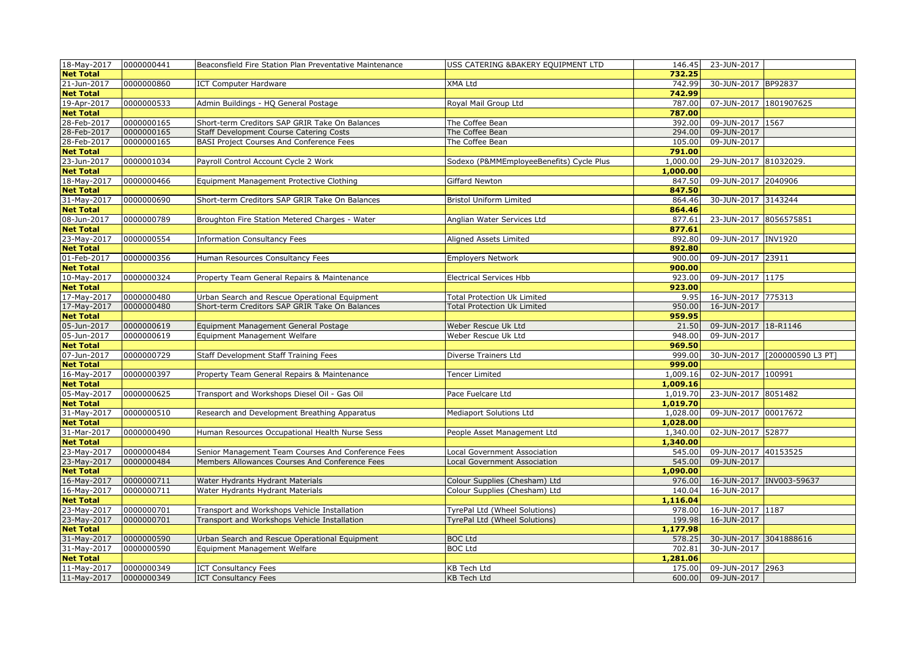| 18-May-2017      | 0000000441 | Beaconsfield Fire Station Plan Preventative Maintenance | USS CATERING & BAKERY EQUIPMENT LTD      | 146.45   | 23-JUN-2017            |                               |
|------------------|------------|---------------------------------------------------------|------------------------------------------|----------|------------------------|-------------------------------|
| <b>Net Total</b> |            |                                                         |                                          | 732.25   |                        |                               |
| 21-Jun-2017      | 0000000860 | <b>ICT Computer Hardware</b>                            | XMA Ltd                                  | 742.99   | 30-JUN-2017 BP92837    |                               |
| <b>Net Total</b> |            |                                                         |                                          | 742.99   |                        |                               |
| 19-Apr-2017      | 0000000533 | Admin Buildings - HQ General Postage                    | Royal Mail Group Ltd                     | 787.00   | 07-JUN-2017 1801907625 |                               |
| <b>Net Total</b> |            |                                                         |                                          | 787.00   |                        |                               |
| 28-Feb-2017      | 0000000165 | Short-term Creditors SAP GRIR Take On Balances          | The Coffee Bean                          | 392.00   | 09-JUN-2017 1567       |                               |
| 28-Feb-2017      | 0000000165 | Staff Development Course Catering Costs                 | The Coffee Bean                          | 294.00   | 09-JUN-2017            |                               |
| 28-Feb-2017      | 0000000165 | BASI Project Courses And Conference Fees                | The Coffee Bean                          | 105.00   | 09-JUN-2017            |                               |
| <b>Net Total</b> |            |                                                         |                                          | 791.00   |                        |                               |
| 23-Jun-2017      | 0000001034 | Payroll Control Account Cycle 2 Work                    | Sodexo (P&MMEmployeeBenefits) Cycle Plus | 1,000.00 | 29-JUN-2017 81032029.  |                               |
| <b>Net Total</b> |            |                                                         |                                          | 1,000.00 |                        |                               |
| 18-May-2017      | 0000000466 | Equipment Management Protective Clothing                | Giffard Newton                           | 847.50   | 09-JUN-2017 2040906    |                               |
| <b>Net Total</b> |            |                                                         |                                          | 847.50   |                        |                               |
| 31-May-2017      | 0000000690 | Short-term Creditors SAP GRIR Take On Balances          | <b>Bristol Uniform Limited</b>           | 864.46   | 30-JUN-2017 3143244    |                               |
| <b>Net Total</b> |            |                                                         |                                          | 864.46   |                        |                               |
| 08-Jun-2017      | 0000000789 | Broughton Fire Station Metered Charges - Water          | Anglian Water Services Ltd               | 877.61   | 23-JUN-2017 8056575851 |                               |
| <b>Net Total</b> |            |                                                         |                                          | 877.61   |                        |                               |
| 23-May-2017      | 0000000554 | <b>Information Consultancy Fees</b>                     | Aligned Assets Limited                   | 892.80   | 09-JUN-2017 INV1920    |                               |
| <b>Net Total</b> |            |                                                         |                                          | 892.80   |                        |                               |
| 01-Feb-2017      | 0000000356 | Human Resources Consultancy Fees                        | <b>Employers Network</b>                 | 900.00   | 09-JUN-2017 23911      |                               |
| <b>Net Total</b> |            |                                                         |                                          | 900.00   |                        |                               |
| 10-May-2017      | 0000000324 | Property Team General Repairs & Maintenance             | Electrical Services Hbb                  | 923.00   | 09-JUN-2017 1175       |                               |
| <b>Net Total</b> |            |                                                         |                                          | 923.00   |                        |                               |
| 17-May-2017      | 0000000480 | Urban Search and Rescue Operational Equipment           | <b>Total Protection Uk Limited</b>       | 9.95     | 16-JUN-2017 775313     |                               |
| 17-May-2017      | 0000000480 | Short-term Creditors SAP GRIR Take On Balances          | <b>Total Protection Uk Limited</b>       | 950.00   | 16-JUN-2017            |                               |
| <b>Net Total</b> |            |                                                         |                                          | 959.95   |                        |                               |
| 05-Jun-2017      | 0000000619 | Equipment Management General Postage                    | Weber Rescue Uk Ltd                      | 21.50    | 09-JUN-2017 18-R1146   |                               |
| 05-Jun-2017      | 0000000619 | Equipment Management Welfare                            | Weber Rescue Uk Ltd                      | 948.00   | 09-JUN-2017            |                               |
| <b>Net Total</b> |            |                                                         |                                          | 969.50   |                        |                               |
| 07-Jun-2017      | 0000000729 | Staff Development Staff Training Fees                   | Diverse Trainers Ltd                     | 999.00   |                        | 30-JUN-2017 [200000590 L3 PT] |
| <b>Net Total</b> |            |                                                         |                                          | 999.00   |                        |                               |
| 16-May-2017      | 0000000397 | Property Team General Repairs & Maintenance             | <b>Fencer Limited</b>                    | 1,009.16 | 02-JUN-2017 100991     |                               |
| <b>Net Total</b> |            |                                                         |                                          | 1,009.16 |                        |                               |
| 05-May-2017      | 0000000625 | Transport and Workshops Diesel Oil - Gas Oil            | Pace Fuelcare Ltd                        | 1,019.70 | 23-JUN-2017 8051482    |                               |
| <b>Net Total</b> |            |                                                         |                                          | 1,019.70 |                        |                               |
| 31-May-2017      | 0000000510 | Research and Development Breathing Apparatus            | Mediaport Solutions Ltd                  | 1,028.00 | 09-JUN-2017 00017672   |                               |
| <b>Net Total</b> |            |                                                         |                                          | 1,028.00 |                        |                               |
| 31-Mar-2017      | 0000000490 | Human Resources Occupational Health Nurse Sess          | People Asset Management Ltd              | 1,340.00 | 02-JUN-2017 52877      |                               |
| <b>Net Total</b> |            |                                                         |                                          | 1,340.00 |                        |                               |
| 23-May-2017      | 0000000484 | Senior Management Team Courses And Conference Fees      | Local Government Association             | 545.00   | 09-JUN-2017 40153525   |                               |
| 23-May-2017      | 0000000484 | Members Allowances Courses And Conference Fees          | <b>Local Government Association</b>      | 545.00   | 09-JUN-2017            |                               |
| <b>Net Total</b> |            |                                                         |                                          | 1,090.00 |                        |                               |
| 16-May-2017      | 0000000711 | Water Hydrants Hydrant Materials                        | Colour Supplies (Chesham) Ltd            | 976.00   |                        | 16-JUN-2017  INV003-59637     |
| 16-May-2017      | 0000000711 | Water Hydrants Hydrant Materials                        | Colour Supplies (Chesham) Ltd            | 140.04   | 16-JUN-2017            |                               |
| <b>Net Total</b> |            |                                                         |                                          | 1,116.04 |                        |                               |
| 23-May-2017      | 0000000701 | Transport and Workshops Vehicle Installation            | TyrePal Ltd (Wheel Solutions)            | 978.00   | 16-JUN-2017 1187       |                               |
| 23-May-2017      | 0000000701 | Transport and Workshops Vehicle Installation            | TyrePal Ltd (Wheel Solutions)            | 199.98   | 16-JUN-2017            |                               |
| <b>Net Total</b> |            |                                                         |                                          | 1,177.98 |                        |                               |
| 31-May-2017      | 0000000590 | Urban Search and Rescue Operational Equipment           | <b>BOC Ltd</b>                           | 578.25   | 30-JUN-2017 3041888616 |                               |
| 31-May-2017      | 0000000590 | Equipment Management Welfare                            | <b>BOC Ltd</b>                           | 702.81   | 30-JUN-2017            |                               |
| <b>Net Total</b> |            |                                                         |                                          | 1,281.06 |                        |                               |
| 11-May-2017      | 0000000349 | <b>ICT Consultancy Fees</b>                             | <b>KB Tech Ltd</b>                       | 175.00   | 09-JUN-2017 2963       |                               |
| 11-May-2017      | 0000000349 | <b>ICT Consultancy Fees</b>                             | <b>KB Tech Ltd</b>                       | 600.00   | 09-JUN-2017            |                               |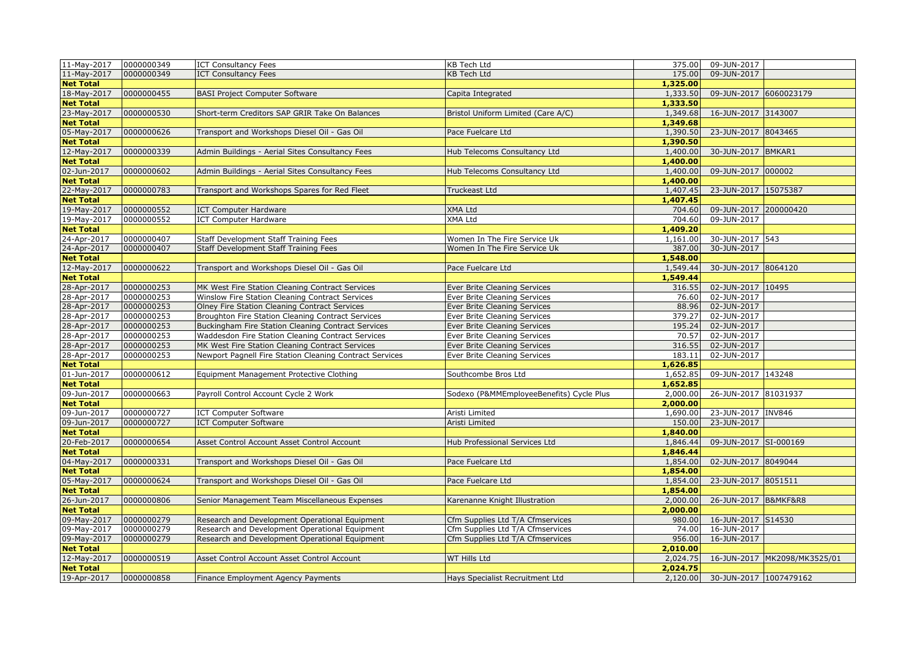| 11-May-2017 0000000349 |            | <b>ICT Consultancy Fees</b>                             | <b>KB Tech Ltd</b>                       | 375.00   | 09-JUN-2017            |                              |
|------------------------|------------|---------------------------------------------------------|------------------------------------------|----------|------------------------|------------------------------|
| 11-May-2017            | 0000000349 | <b>ICT Consultancy Fees</b>                             | KB Tech Ltd                              | 175.00   | 09-JUN-2017            |                              |
| <b>Net Total</b>       |            |                                                         |                                          | 1,325.00 |                        |                              |
| 18-May-2017            | 0000000455 | <b>BASI Project Computer Software</b>                   | Capita Integrated                        | 1,333.50 | 09-JUN-2017 6060023179 |                              |
| <b>Net Total</b>       |            |                                                         |                                          | 1,333.50 |                        |                              |
| 23-May-2017            | 0000000530 | Short-term Creditors SAP GRIR Take On Balances          | Bristol Uniform Limited (Care A/C)       | 1,349.68 | 16-JUN-2017 3143007    |                              |
| <b>Net Total</b>       |            |                                                         |                                          | 1,349.68 |                        |                              |
| 05-May-2017            | 0000000626 | Transport and Workshops Diesel Oil - Gas Oil            | Pace Fuelcare Ltd                        | 1,390.50 | 23-JUN-2017 8043465    |                              |
| <b>Net Total</b>       |            |                                                         |                                          | 1,390.50 |                        |                              |
| 12-May-2017            | 0000000339 | Admin Buildings - Aerial Sites Consultancy Fees         | Hub Telecoms Consultancy Ltd             | 1,400.00 | 30-JUN-2017 BMKAR1     |                              |
| <b>Net Total</b>       |            |                                                         |                                          | 1,400.00 |                        |                              |
| 02-Jun-2017            | 0000000602 | Admin Buildings - Aerial Sites Consultancy Fees         | Hub Telecoms Consultancy Ltd             | 1,400.00 | 09-JUN-2017 000002     |                              |
| <b>Net Total</b>       |            |                                                         |                                          | 1,400.00 |                        |                              |
| 22-May-2017            | 0000000783 | Transport and Workshops Spares for Red Fleet            | Truckeast Ltd                            | 1,407.45 | 23-JUN-2017 15075387   |                              |
| <b>Net Total</b>       |            |                                                         |                                          | 1,407.45 |                        |                              |
| 19-May-2017            | 0000000552 | <b>ICT Computer Hardware</b>                            | <b>XMA Ltd</b>                           | 704.60   | 09-JUN-2017 200000420  |                              |
| 19-May-2017            | 0000000552 | <b>ICT Computer Hardware</b>                            | XMA Ltd                                  | 704.60   | 09-JUN-2017            |                              |
| <b>Net Total</b>       |            |                                                         |                                          | 1,409.20 |                        |                              |
| 24-Apr-2017            | 0000000407 | Staff Development Staff Training Fees                   | Women In The Fire Service Uk             | 1,161.00 | 30-JUN-2017 543        |                              |
| 24-Apr-2017            | 0000000407 | Staff Development Staff Training Fees                   | Women In The Fire Service Uk             | 387.00   | 30-JUN-2017            |                              |
| <b>Net Total</b>       |            |                                                         |                                          | 1,548.00 |                        |                              |
| 12-May-2017            | 0000000622 | Transport and Workshops Diesel Oil - Gas Oil            | Pace Fuelcare Ltd                        | 1,549.44 | 30-JUN-2017 8064120    |                              |
| <b>Net Total</b>       |            |                                                         |                                          | 1,549.44 |                        |                              |
| 28-Apr-2017            | 0000000253 | MK West Fire Station Cleaning Contract Services         | Ever Brite Cleaning Services             | 316.55   | 02-JUN-2017 10495      |                              |
| 28-Apr-2017            | 0000000253 | Winslow Fire Station Cleaning Contract Services         | Ever Brite Cleaning Services             | 76.60    | 02-JUN-2017            |                              |
| 28-Apr-2017            | 0000000253 | Olney Fire Station Cleaning Contract Services           | Ever Brite Cleaning Services             | 88.96    | 02-JUN-2017            |                              |
| 28-Apr-2017            | 0000000253 | Broughton Fire Station Cleaning Contract Services       | Ever Brite Cleaning Services             | 379.27   | 02-JUN-2017            |                              |
| 28-Apr-2017            | 0000000253 | Buckingham Fire Station Cleaning Contract Services      | Ever Brite Cleaning Services             | 195.24   | 02-JUN-2017            |                              |
| 28-Apr-2017            | 0000000253 | Waddesdon Fire Station Cleaning Contract Services       | Ever Brite Cleaning Services             | 70.57    | 02-JUN-2017            |                              |
| 28-Apr-2017            | 0000000253 | MK West Fire Station Cleaning Contract Services         | Ever Brite Cleaning Services             | 316.55   | 02-JUN-2017            |                              |
| 28-Apr-2017            | 0000000253 | Newport Pagnell Fire Station Cleaning Contract Services | Ever Brite Cleaning Services             | 183.11   | 02-JUN-2017            |                              |
| <b>Net Total</b>       |            |                                                         |                                          | 1,626.85 |                        |                              |
| 01-Jun-2017            | 0000000612 | Equipment Management Protective Clothing                | Southcombe Bros Ltd                      | 1,652.85 | 09-JUN-2017 143248     |                              |
| <b>Net Total</b>       |            |                                                         |                                          | 1,652.85 |                        |                              |
| 09-Jun-2017            | 0000000663 | Payroll Control Account Cycle 2 Work                    | Sodexo (P&MMEmployeeBenefits) Cycle Plus | 2,000.00 | 26-JUN-2017 81031937   |                              |
| <b>Net Total</b>       |            |                                                         |                                          | 2,000.00 |                        |                              |
| 09-Jun-2017            | 0000000727 | <b>ICT Computer Software</b>                            | Aristi Limited                           | 1,690.00 | 23-JUN-2017 INV846     |                              |
| 09-Jun-2017            | 0000000727 | <b>ICT Computer Software</b>                            | Aristi Limited                           | 150.00   | 23-JUN-2017            |                              |
| <b>Net Total</b>       |            |                                                         |                                          | 1,840.00 |                        |                              |
| 20-Feb-2017            | 0000000654 | Asset Control Account Asset Control Account             | Hub Professional Services Ltd            | 1,846.44 | 09-JUN-2017 SI-000169  |                              |
| <b>Net Total</b>       |            |                                                         |                                          | 1,846.44 |                        |                              |
| 04-May-2017            | 0000000331 | Transport and Workshops Diesel Oil - Gas Oil            | Pace Fuelcare Ltd                        | 1,854.00 | 02-JUN-2017 8049044    |                              |
| <b>Net Total</b>       |            |                                                         |                                          | 1,854.00 |                        |                              |
| 05-May-2017            | 0000000624 | Transport and Workshops Diesel Oil - Gas Oil            | Pace Fuelcare Ltd                        | 1,854.00 | 23-JUN-2017 8051511    |                              |
| <b>Net Total</b>       |            |                                                         |                                          | 1,854.00 |                        |                              |
| 26-Jun-2017            | 0000000806 | Senior Management Team Miscellaneous Expenses           | Karenanne Knight Illustration            | 2,000.00 | 26-JUN-2017 B&MKF&R8   |                              |
| <b>Net Total</b>       |            |                                                         |                                          | 2,000.00 |                        |                              |
| 09-May-2017            | 0000000279 | Research and Development Operational Equipment          | Cfm Supplies Ltd T/A Cfmservices         | 980.00   | 16-JUN-2017 S14530     |                              |
| 09-May-2017            | 0000000279 | Research and Development Operational Equipment          | Cfm Supplies Ltd T/A Cfmservices         | 74.00    | 16-JUN-2017            |                              |
| 09-May-2017            | 0000000279 | Research and Development Operational Equipment          | Cfm Supplies Ltd T/A Cfmservices         | 956.00   | 16-JUN-2017            |                              |
| <b>Net Total</b>       |            |                                                         |                                          | 2,010.00 |                        |                              |
| 12-May-2017            | 0000000519 | Asset Control Account Asset Control Account             | WT Hills Ltd                             | 2,024.75 |                        | 16-JUN-2017 MK2098/MK3525/01 |
| <b>Net Total</b>       |            |                                                         |                                          | 2,024.75 |                        |                              |
| 19-Apr-2017            | 0000000858 | Finance Employment Agency Payments                      | Hays Specialist Recruitment Ltd          | 2,120.00 | 30-JUN-2017 1007479162 |                              |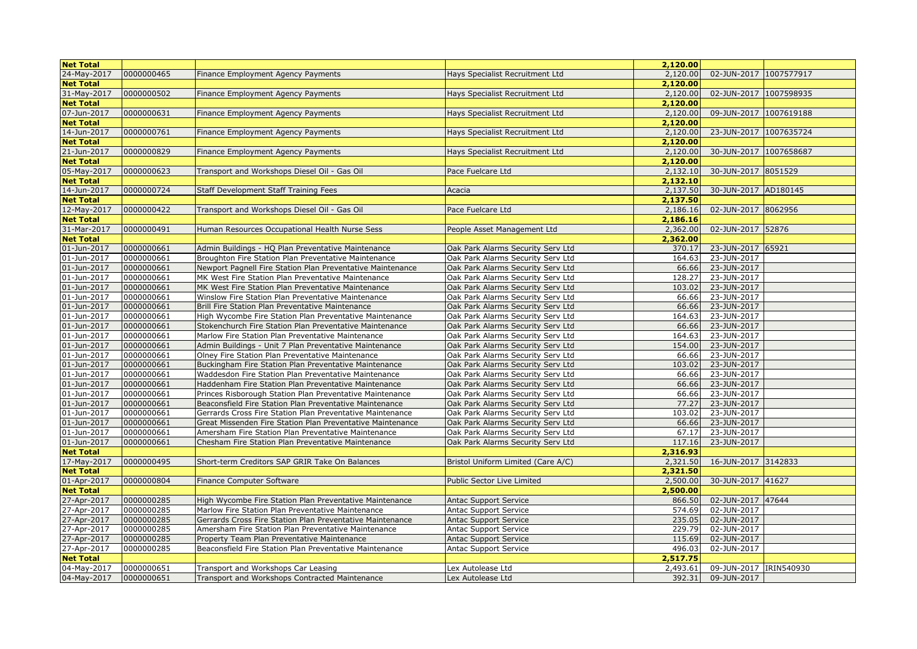| <b>Net Total</b>           |                          |                                                                                                               |                                                                        | 2,120.00        |                            |  |
|----------------------------|--------------------------|---------------------------------------------------------------------------------------------------------------|------------------------------------------------------------------------|-----------------|----------------------------|--|
| 24-May-2017                | 0000000465               | Finance Employment Agency Payments                                                                            | Hays Specialist Recruitment Ltd                                        | 2,120.00        | 02-JUN-2017 1007577917     |  |
| <b>Net Total</b>           |                          |                                                                                                               |                                                                        | 2,120.00        |                            |  |
| 31-May-2017                | 0000000502               | Finance Employment Agency Payments                                                                            | Hays Specialist Recruitment Ltd                                        | 2,120.00        | 02-JUN-2017 1007598935     |  |
| <b>Net Total</b>           |                          |                                                                                                               |                                                                        | 2,120.00        |                            |  |
| 07-Jun-2017                | 0000000631               | Finance Employment Agency Payments                                                                            | Hays Specialist Recruitment Ltd                                        | 2,120.00        | 09-JUN-2017 1007619188     |  |
| <b>Net Total</b>           |                          |                                                                                                               |                                                                        | 2,120.00        |                            |  |
| 14-Jun-2017                | 0000000761               | Finance Employment Agency Payments                                                                            | Hays Specialist Recruitment Ltd                                        | 2,120.00        | 23-JUN-2017 1007635724     |  |
| <b>Net Total</b>           |                          |                                                                                                               |                                                                        | 2,120.00        |                            |  |
| 21-Jun-2017                | 0000000829               | Finance Employment Agency Payments                                                                            | Hays Specialist Recruitment Ltd                                        | 2,120.00        | 30-JUN-2017 1007658687     |  |
| <b>Net Total</b>           |                          |                                                                                                               |                                                                        | 2,120.00        |                            |  |
| 05-May-2017                | 0000000623               | Transport and Workshops Diesel Oil - Gas Oil                                                                  | Pace Fuelcare Ltd                                                      | 2,132.10        | 30-JUN-2017 8051529        |  |
| <b>Net Total</b>           |                          |                                                                                                               |                                                                        | 2,132.10        |                            |  |
| 14-Jun-2017                | 0000000724               | Staff Development Staff Training Fees                                                                         | Acacia                                                                 | 2,137.50        | 30-JUN-2017 AD180145       |  |
| <b>Net Total</b>           |                          |                                                                                                               |                                                                        | 2,137.50        |                            |  |
| 12-May-2017                | 0000000422               | Transport and Workshops Diesel Oil - Gas Oil                                                                  | Pace Fuelcare Ltd                                                      | 2,186.16        | 02-JUN-2017 8062956        |  |
| <b>Net Total</b>           |                          |                                                                                                               |                                                                        | 2,186.16        |                            |  |
| 31-Mar-2017                | 0000000491               | Human Resources Occupational Health Nurse Sess                                                                | People Asset Management Ltd                                            | 2,362.00        | 02-JUN-2017 52876          |  |
| <b>Net Total</b>           |                          |                                                                                                               |                                                                        | 2,362.00        |                            |  |
| 01-Jun-2017                | 0000000661               | Admin Buildings - HQ Plan Preventative Maintenance                                                            | Oak Park Alarms Security Serv Ltd                                      | 370.17          | 23-JUN-2017 65921          |  |
| 01-Jun-2017                | 0000000661               | Broughton Fire Station Plan Preventative Maintenance                                                          | Oak Park Alarms Security Serv Ltd                                      | 164.63          | 23-JUN-2017                |  |
| 01-Jun-2017                | 0000000661               | Newport Pagnell Fire Station Plan Preventative Maintenance                                                    | Oak Park Alarms Security Serv Ltd                                      | 66.66           | 23-JUN-2017                |  |
| 01-Jun-2017                | 0000000661               | MK West Fire Station Plan Preventative Maintenance                                                            | Oak Park Alarms Security Serv Ltd                                      | 128.27          | 23-JUN-2017                |  |
| 01-Jun-2017                | 0000000661               | MK West Fire Station Plan Preventative Maintenance                                                            | Oak Park Alarms Security Serv Ltd                                      | 103.02          | 23-JUN-2017                |  |
| 01-Jun-2017                | 0000000661               | Winslow Fire Station Plan Preventative Maintenance                                                            | Oak Park Alarms Security Serv Ltd                                      | 66.66           | 23-JUN-2017                |  |
| 01-Jun-2017                | 0000000661               | Brill Fire Station Plan Preventative Maintenance                                                              | Oak Park Alarms Security Serv Ltd                                      | 66.66           | 23-JUN-2017                |  |
| 01-Jun-2017                | 0000000661               | High Wycombe Fire Station Plan Preventative Maintenance                                                       | Oak Park Alarms Security Serv Ltd                                      | 164.63          | 23-JUN-2017                |  |
| 01-Jun-2017                | 0000000661               | Stokenchurch Fire Station Plan Preventative Maintenance                                                       | Oak Park Alarms Security Serv Ltd                                      | 66.66           | 23-JUN-2017                |  |
| 01-Jun-2017                | 0000000661               | Marlow Fire Station Plan Preventative Maintenance                                                             | Oak Park Alarms Security Serv Ltd                                      | 164.63          | 23-JUN-2017                |  |
| 01-Jun-2017                | 0000000661               | Admin Buildings - Unit 7 Plan Preventative Maintenance                                                        | Oak Park Alarms Security Serv Ltd                                      | 154.00          | 23-JUN-2017                |  |
| 01-Jun-2017<br>01-Jun-2017 | 0000000661<br>0000000661 | Olney Fire Station Plan Preventative Maintenance                                                              | Oak Park Alarms Security Serv Ltd                                      | 66.66<br>103.02 | 23-JUN-2017<br>23-JUN-2017 |  |
| 01-Jun-2017                | 0000000661               | Buckingham Fire Station Plan Preventative Maintenance<br>Waddesdon Fire Station Plan Preventative Maintenance | Oak Park Alarms Security Serv Ltd<br>Oak Park Alarms Security Serv Ltd | 66.66           | 23-JUN-2017                |  |
| 01-Jun-2017                | 0000000661               | Haddenham Fire Station Plan Preventative Maintenance                                                          | Oak Park Alarms Security Serv Ltd                                      | 66.66           | 23-JUN-2017                |  |
| 01-Jun-2017                | 0000000661               | Princes Risborough Station Plan Preventative Maintenance                                                      | Oak Park Alarms Security Serv Ltd                                      | 66.66           | 23-JUN-2017                |  |
| 01-Jun-2017                | 0000000661               | Beaconsfield Fire Station Plan Preventative Maintenance                                                       | Oak Park Alarms Security Serv Ltd                                      | 77.27           | 23-JUN-2017                |  |
| 01-Jun-2017                | 0000000661               | Gerrards Cross Fire Station Plan Preventative Maintenance                                                     | Oak Park Alarms Security Serv Ltd                                      | 103.02          | 23-JUN-2017                |  |
| 01-Jun-2017                | 0000000661               | Great Missenden Fire Station Plan Preventative Maintenance                                                    | Oak Park Alarms Security Serv Ltd                                      | 66.66           | 23-JUN-2017                |  |
| 01-Jun-2017                | 0000000661               | Amersham Fire Station Plan Preventative Maintenance                                                           | Oak Park Alarms Security Serv Ltd                                      | 67.17           | 23-JUN-2017                |  |
| 01-Jun-2017                | 0000000661               | Chesham Fire Station Plan Preventative Maintenance                                                            | Oak Park Alarms Security Serv Ltd                                      | 117.16          | 23-JUN-2017                |  |
| <b>Net Total</b>           |                          |                                                                                                               |                                                                        | 2,316.93        |                            |  |
| 17-May-2017                | 0000000495               | Short-term Creditors SAP GRIR Take On Balances                                                                | Bristol Uniform Limited (Care A/C)                                     | 2,321.50        | 16-JUN-2017 3142833        |  |
| <b>Net Total</b>           |                          |                                                                                                               |                                                                        | 2,321.50        |                            |  |
| 01-Apr-2017                | 0000000804               | Finance Computer Software                                                                                     | Public Sector Live Limited                                             | 2,500.00        | 30-JUN-2017 41627          |  |
| <b>Net Total</b>           |                          |                                                                                                               |                                                                        | 2,500.00        |                            |  |
| 27-Apr-2017                | 0000000285               | High Wycombe Fire Station Plan Preventative Maintenance                                                       | <b>Antac Support Service</b>                                           | 866.50          | 02-JUN-2017 47644          |  |
| 27-Apr-2017                | 0000000285               | Marlow Fire Station Plan Preventative Maintenance                                                             | Antac Support Service                                                  | 574.69          | 02-JUN-2017                |  |
| 27-Apr-2017                | 0000000285               | Gerrards Cross Fire Station Plan Preventative Maintenance                                                     | <b>Antac Support Service</b>                                           | 235.05          | 02-JUN-2017                |  |
| 27-Apr-2017                | 0000000285               | Amersham Fire Station Plan Preventative Maintenance                                                           | <b>Antac Support Service</b>                                           | 229.79          | 02-JUN-2017                |  |
| 27-Apr-2017                | 0000000285               | Property Team Plan Preventative Maintenance                                                                   | <b>Antac Support Service</b>                                           | 115.69          | 02-JUN-2017                |  |
| 27-Apr-2017                | 0000000285               | Beaconsfield Fire Station Plan Preventative Maintenance                                                       | Antac Support Service                                                  | 496.03          | 02-JUN-2017                |  |
| <b>Net Total</b>           |                          |                                                                                                               |                                                                        | 2,517.75        |                            |  |
| 04-May-2017                | 0000000651               | Transport and Workshops Car Leasing                                                                           | Lex Autolease Ltd                                                      | 2,493.61        | 09-JUN-2017 IRIN540930     |  |
| 04-May-2017                | 0000000651               | Transport and Workshops Contracted Maintenance                                                                | Lex Autolease Ltd                                                      | 392.31          | 09-JUN-2017                |  |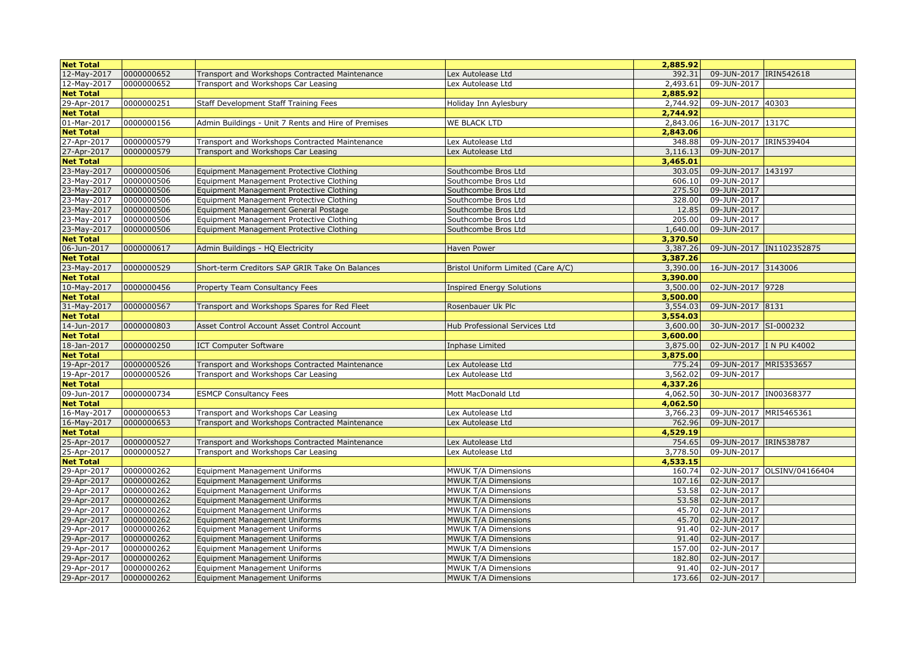| <b>Net Total</b>                |                          |                                                     |                                    | 2,885.92             |                           |                             |
|---------------------------------|--------------------------|-----------------------------------------------------|------------------------------------|----------------------|---------------------------|-----------------------------|
| 12-May-2017                     | 0000000652               | Transport and Workshops Contracted Maintenance      | Lex Autolease Ltd                  | 392.31               | 09-JUN-2017 IRIN542618    |                             |
| 12-May-2017                     | 0000000652               | Transport and Workshops Car Leasing                 | Lex Autolease Ltd                  | 2,493.61             | 09-JUN-2017               |                             |
| <b>Net Total</b>                |                          |                                                     |                                    | 2,885.92             |                           |                             |
| 29-Apr-2017                     | 0000000251               | Staff Development Staff Training Fees               | Holiday Inn Aylesbury              | 2,744.92             | 09-JUN-2017 40303         |                             |
| <b>Net Total</b>                |                          |                                                     |                                    | 2,744.92             |                           |                             |
| 01-Mar-2017                     | 0000000156               | Admin Buildings - Unit 7 Rents and Hire of Premises | <b>WE BLACK LTD</b>                | 2,843.06             | 16-JUN-2017 1317C         |                             |
| <b>Net Total</b>                |                          |                                                     |                                    | 2,843.06             |                           |                             |
| 27-Apr-2017                     | 0000000579               | Transport and Workshops Contracted Maintenance      | Lex Autolease Ltd                  | 348.88               | 09-JUN-2017 IRIN539404    |                             |
| 27-Apr-2017                     | 0000000579               | Transport and Workshops Car Leasing                 | Lex Autolease Ltd                  | 3,116.13             | 09-JUN-2017               |                             |
| <b>Net Total</b>                |                          |                                                     |                                    | 3,465.01             |                           |                             |
| 23-May-2017                     | 0000000506               | Equipment Management Protective Clothing            | Southcombe Bros Ltd                | 303.05               | 09-JUN-2017 143197        |                             |
| 23-May-2017                     | 0000000506               | Equipment Management Protective Clothing            | Southcombe Bros Ltd                | 606.10               | 09-JUN-2017               |                             |
| 23-May-2017                     | 0000000506               | Equipment Management Protective Clothing            | Southcombe Bros Ltd                | 275.50               | 09-JUN-2017               |                             |
| 23-May-2017                     | 0000000506               | Equipment Management Protective Clothing            | Southcombe Bros Ltd                | 328.00               | 09-JUN-2017               |                             |
| 23-May-2017                     | 0000000506               | Equipment Management General Postage                | Southcombe Bros Ltd                | 12.85                | 09-JUN-2017               |                             |
| 23-May-2017                     | 0000000506               | Equipment Management Protective Clothing            | Southcombe Bros Ltd                | 205.00               | 09-JUN-2017               |                             |
| 23-May-2017                     | 0000000506               | Equipment Management Protective Clothing            | Southcombe Bros Ltd                | 1,640.00             | 09-JUN-2017               |                             |
| <b>Net Total</b>                |                          |                                                     |                                    | 3,370.50             |                           |                             |
| 06-Jun-2017                     | 0000000617               | Admin Buildings - HQ Electricity                    | Haven Power                        | 3,387.26             |                           | 09-JUN-2017 IN1102352875    |
| <b>Net Total</b>                |                          |                                                     |                                    | 3,387.26             |                           |                             |
| 23-May-2017                     | 0000000529               | Short-term Creditors SAP GRIR Take On Balances      | Bristol Uniform Limited (Care A/C) | 3,390.00             | 16-JUN-2017 3143006       |                             |
| <b>Net Total</b>                |                          |                                                     |                                    | 3,390.00             |                           |                             |
| 10-May-2017                     | 0000000456               | Property Team Consultancy Fees                      | <b>Inspired Energy Solutions</b>   | 3,500.00             | 02-JUN-2017 9728          |                             |
| <b>Net Total</b>                |                          |                                                     |                                    | 3,500.00             |                           |                             |
| 31-May-2017                     | 0000000567               | Transport and Workshops Spares for Red Fleet        | Rosenbauer Uk Plc                  | 3,554.03             | 09-JUN-2017 8131          |                             |
| <b>Net Total</b>                |                          |                                                     |                                    | 3,554.03             |                           |                             |
| 14-Jun-2017                     | 0000000803               | Asset Control Account Asset Control Account         | Hub Professional Services Ltd      | 3,600.00             | 30-JUN-2017 SI-000232     |                             |
| <b>Net Total</b>                |                          |                                                     |                                    | 3,600.00             |                           |                             |
| 18-Jan-2017                     | 0000000250               | <b>ICT Computer Software</b>                        | Inphase Limited                    | 3,875.00             | 02-JUN-2017  I N PU K4002 |                             |
| <b>Net Total</b>                |                          |                                                     |                                    | 3,875.00             |                           |                             |
| 19-Apr-2017                     | 0000000526<br>0000000526 | Transport and Workshops Contracted Maintenance      | Lex Autolease Ltd                  | 775.24               | 09-JUN-2017 MRI5353657    |                             |
| 19-Apr-2017                     |                          | Transport and Workshops Car Leasing                 | Lex Autolease Ltd                  | 3,562.02             | 09-JUN-2017               |                             |
| <b>Net Total</b><br>09-Jun-2017 | 0000000734               | <b>ESMCP Consultancy Fees</b>                       | Mott MacDonald Ltd                 | 4,337.26<br>4,062.50 | 30-JUN-2017  IN00368377   |                             |
| <b>Net Total</b>                |                          |                                                     |                                    | 4,062.50             |                           |                             |
| 16-May-2017                     | 0000000653               | Transport and Workshops Car Leasing                 | Lex Autolease Ltd                  | 3,766.23             | 09-JUN-2017 MRI5465361    |                             |
| 16-May-2017                     | 0000000653               | Transport and Workshops Contracted Maintenance      | Lex Autolease Ltd                  | 762.96               | 09-JUN-2017               |                             |
| <b>Net Total</b>                |                          |                                                     |                                    | 4,529.19             |                           |                             |
| 25-Apr-2017                     | 0000000527               | Transport and Workshops Contracted Maintenance      | Lex Autolease Ltd                  | 754.65               | 09-JUN-2017  IRIN538787   |                             |
| 25-Apr-2017                     | 0000000527               | Transport and Workshops Car Leasing                 | Lex Autolease Ltd                  | 3,778.50             | 09-JUN-2017               |                             |
| <b>Net Total</b>                |                          |                                                     |                                    | 4,533.15             |                           |                             |
| 29-Apr-2017                     | 0000000262               | <b>Equipment Management Uniforms</b>                | MWUK T/A Dimensions                | 160.74               |                           | 02-JUN-2017 OLSINV/04166404 |
| 29-Apr-2017                     | 0000000262               | <b>Equipment Management Uniforms</b>                | MWUK T/A Dimensions                | 107.16               | 02-JUN-2017               |                             |
| 29-Apr-2017                     | 0000000262               | Equipment Management Uniforms                       | MWUK T/A Dimensions                | 53.58                | 02-JUN-2017               |                             |
| 29-Apr-2017                     | 0000000262               | <b>Equipment Management Uniforms</b>                | MWUK T/A Dimensions                | 53.58                | 02-JUN-2017               |                             |
| 29-Apr-2017                     | 0000000262               | Equipment Management Uniforms                       | MWUK T/A Dimensions                | 45.70                | 02-JUN-2017               |                             |
| 29-Apr-2017                     | 0000000262               | <b>Equipment Management Uniforms</b>                | MWUK T/A Dimensions                | 45.70                | 02-JUN-2017               |                             |
| 29-Apr-2017                     | 0000000262               | <b>Equipment Management Uniforms</b>                | MWUK T/A Dimensions                | 91.40                | 02-JUN-2017               |                             |
| 29-Apr-2017                     | 0000000262               | <b>Equipment Management Uniforms</b>                | MWUK T/A Dimensions                | 91.40                | 02-JUN-2017               |                             |
| 29-Apr-2017                     | 0000000262               | <b>Equipment Management Uniforms</b>                | MWUK T/A Dimensions                | 157.00               | 02-JUN-2017               |                             |
| 29-Apr-2017                     | 0000000262               | <b>Equipment Management Uniforms</b>                | MWUK T/A Dimensions                | 182.80               | 02-JUN-2017               |                             |
| 29-Apr-2017                     | 0000000262               | <b>Equipment Management Uniforms</b>                | MWUK T/A Dimensions                | 91.40                | 02-JUN-2017               |                             |
| 29-Apr-2017                     | 0000000262               | <b>Equipment Management Uniforms</b>                | MWUK T/A Dimensions                | 173.66               | 02-JUN-2017               |                             |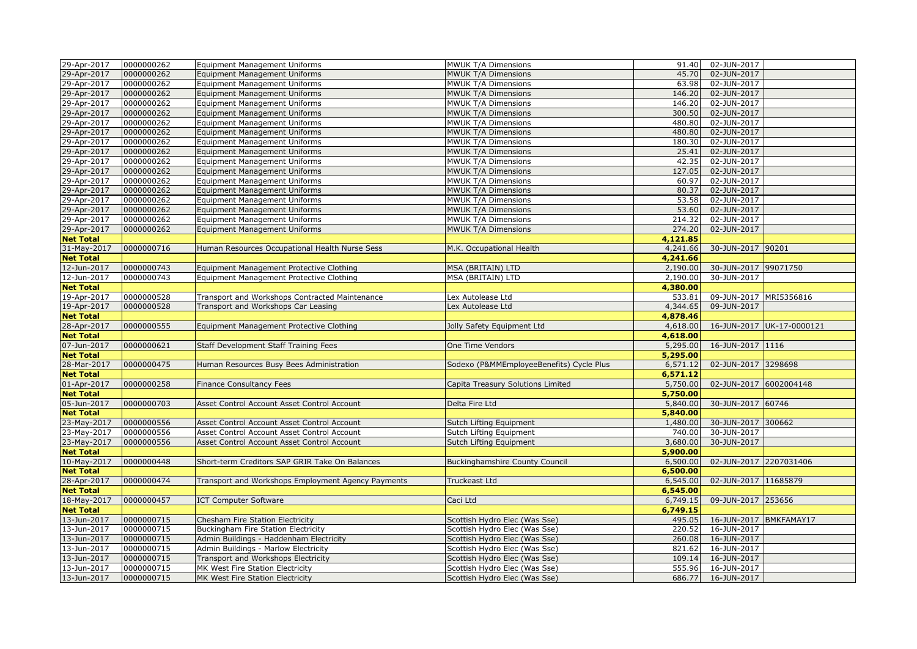| 29-Apr-2017      | 0000000262 | <b>Equipment Management Uniforms</b>               | MWUK T/A Dimensions                      | 91.40    | 02-JUN-2017            |                           |
|------------------|------------|----------------------------------------------------|------------------------------------------|----------|------------------------|---------------------------|
| 29-Apr-2017      | 0000000262 | <b>Equipment Management Uniforms</b>               | MWUK T/A Dimensions                      | 45.70    | 02-JUN-2017            |                           |
| 29-Apr-2017      | 0000000262 | Equipment Management Uniforms                      | MWUK T/A Dimensions                      | 63.98    | 02-JUN-2017            |                           |
| 29-Apr-2017      | 0000000262 | Equipment Management Uniforms                      | MWUK T/A Dimensions                      | 146.20   | 02-JUN-2017            |                           |
| 29-Apr-2017      | 0000000262 | <b>Equipment Management Uniforms</b>               | MWUK T/A Dimensions                      | 146.20   | 02-JUN-2017            |                           |
| 29-Apr-2017      | 0000000262 | <b>Equipment Management Uniforms</b>               | MWUK T/A Dimensions                      | 300.50   | 02-JUN-2017            |                           |
| 29-Apr-2017      | 0000000262 | <b>Equipment Management Uniforms</b>               | MWUK T/A Dimensions                      | 480.80   | 02-JUN-2017            |                           |
| 29-Apr-2017      | 0000000262 | <b>Equipment Management Uniforms</b>               | MWUK T/A Dimensions                      | 480.80   | 02-JUN-2017            |                           |
| 29-Apr-2017      | 0000000262 | <b>Equipment Management Uniforms</b>               | MWUK T/A Dimensions                      | 180.30   | 02-JUN-2017            |                           |
| 29-Apr-2017      | 0000000262 | <b>Equipment Management Uniforms</b>               | MWUK T/A Dimensions                      | 25.41    | 02-JUN-2017            |                           |
| 29-Apr-2017      | 0000000262 | <b>Equipment Management Uniforms</b>               | MWUK T/A Dimensions                      | 42.35    | 02-JUN-2017            |                           |
| 29-Apr-2017      | 0000000262 | Equipment Management Uniforms                      | MWUK T/A Dimensions                      | 127.05   | 02-JUN-2017            |                           |
| 29-Apr-2017      | 0000000262 | <b>Equipment Management Uniforms</b>               | MWUK T/A Dimensions                      | 60.97    | 02-JUN-2017            |                           |
| 29-Apr-2017      | 0000000262 | <b>Equipment Management Uniforms</b>               | MWUK T/A Dimensions                      | 80.37    | 02-JUN-2017            |                           |
| 29-Apr-2017      | 0000000262 | Equipment Management Uniforms                      | MWUK T/A Dimensions                      | 53.58    | 02-JUN-2017            |                           |
| 29-Apr-2017      | 0000000262 | Equipment Management Uniforms                      | MWUK T/A Dimensions                      | 53.60    | 02-JUN-2017            |                           |
| 29-Apr-2017      | 0000000262 | Equipment Management Uniforms                      | MWUK T/A Dimensions                      | 214.32   | 02-JUN-2017            |                           |
| 29-Apr-2017      | 0000000262 | Equipment Management Uniforms                      | MWUK T/A Dimensions                      | 274.20   | 02-JUN-2017            |                           |
| <b>Net Total</b> |            |                                                    |                                          | 4,121.85 |                        |                           |
| 31-May-2017      | 0000000716 | Human Resources Occupational Health Nurse Sess     | M.K. Occupational Health                 | 4,241.66 | 30-JUN-2017 90201      |                           |
| <b>Net Total</b> |            |                                                    |                                          | 4,241.66 |                        |                           |
| 12-Jun-2017      | 0000000743 | Equipment Management Protective Clothing           | MSA (BRITAIN) LTD                        | 2,190.00 | 30-JUN-2017 99071750   |                           |
| 12-Jun-2017      | 0000000743 | Equipment Management Protective Clothing           | MSA (BRITAIN) LTD                        | 2,190.00 | 30-JUN-2017            |                           |
| <b>Net Total</b> |            |                                                    |                                          | 4,380,00 |                        |                           |
| 19-Apr-2017      | 0000000528 | Transport and Workshops Contracted Maintenance     | Lex Autolease Ltd                        | 533.81   | 09-JUN-2017 MRI5356816 |                           |
| 19-Apr-2017      | 0000000528 | Transport and Workshops Car Leasing                | Lex Autolease Ltd                        | 4,344.65 | 09-JUN-2017            |                           |
| <b>Net Total</b> |            |                                                    |                                          | 4,878.46 |                        |                           |
| 28-Apr-2017      | 0000000555 | Equipment Management Protective Clothing           | Jolly Safety Equipment Ltd               | 4,618.00 |                        | 16-JUN-2017 UK-17-0000121 |
| <b>Net Total</b> |            |                                                    |                                          | 4,618.00 |                        |                           |
| 07-Jun-2017      | 0000000621 | Staff Development Staff Training Fees              | One Time Vendors                         | 5,295.00 | 16-JUN-2017 1116       |                           |
| <b>Net Total</b> |            |                                                    |                                          | 5,295.00 |                        |                           |
| 28-Mar-2017      | 0000000475 | Human Resources Busy Bees Administration           | Sodexo (P&MMEmployeeBenefits) Cycle Plus | 6,571.12 | 02-JUN-2017 3298698    |                           |
| <b>Net Total</b> |            |                                                    |                                          | 6,571.12 |                        |                           |
| 01-Apr-2017      | 0000000258 | Finance Consultancy Fees                           | Capita Treasury Solutions Limited        | 5,750.00 | 02-JUN-2017 6002004148 |                           |
| <b>Net Total</b> |            |                                                    |                                          | 5,750,00 |                        |                           |
| 05-Jun-2017      | 0000000703 | Asset Control Account Asset Control Account        | Delta Fire Ltd                           | 5,840.00 | 30-JUN-2017 60746      |                           |
| <b>Net Total</b> |            |                                                    |                                          | 5,840,00 |                        |                           |
| 23-May-2017      | 0000000556 | Asset Control Account Asset Control Account        | Sutch Lifting Equipment                  | 1,480.00 | 30-JUN-2017 300662     |                           |
| 23-May-2017      | 0000000556 | Asset Control Account Asset Control Account        | Sutch Lifting Equipment                  | 740.00   | 30-JUN-2017            |                           |
| 23-May-2017      | 0000000556 | Asset Control Account Asset Control Account        | Sutch Lifting Equipment                  | 3,680.00 | 30-JUN-2017            |                           |
| <b>Net Total</b> |            |                                                    |                                          | 5,900.00 |                        |                           |
| 10-May-2017      | 0000000448 | Short-term Creditors SAP GRIR Take On Balances     | <b>Buckinghamshire County Council</b>    | 6,500.00 | 02-JUN-2017 2207031406 |                           |
| <b>Net Total</b> |            |                                                    |                                          | 6,500.00 |                        |                           |
| 28-Apr-2017      | 0000000474 | Transport and Workshops Employment Agency Payments | Truckeast Ltd                            | 6,545.00 | 02-JUN-2017 11685879   |                           |
| <b>Net Total</b> |            |                                                    |                                          | 6,545.00 |                        |                           |
| 18-May-2017      | 0000000457 | <b>ICT Computer Software</b>                       | Caci Ltd                                 | 6,749.15 | 09-JUN-2017 253656     |                           |
| <b>Net Total</b> |            |                                                    |                                          | 6,749.15 |                        |                           |
| 13-Jun-2017      | 0000000715 | Chesham Fire Station Electricity                   | Scottish Hydro Elec (Was Sse)            | 495.05   | 16-JUN-2017 BMKFAMAY17 |                           |
| 13-Jun-2017      | 0000000715 | Buckingham Fire Station Electricity                | Scottish Hydro Elec (Was Sse)            | 220.52   | 16-JUN-2017            |                           |
| 13-Jun-2017      | 0000000715 | Admin Buildings - Haddenham Electricity            | Scottish Hydro Elec (Was Sse)            | 260.08   | 16-JUN-2017            |                           |
| 13-Jun-2017      | 0000000715 | Admin Buildings - Marlow Electricity               | Scottish Hydro Elec (Was Sse)            | 821.62   | 16-JUN-2017            |                           |
| 13-Jun-2017      | 0000000715 | Transport and Workshops Electricity                | Scottish Hydro Elec (Was Sse)            | 109.14   | 16-JUN-2017            |                           |
| 13-Jun-2017      | 0000000715 | MK West Fire Station Electricity                   | Scottish Hydro Elec (Was Sse)            | 555.96   | 16-JUN-2017            |                           |
| 13-Jun-2017      | 0000000715 | MK West Fire Station Electricity                   | Scottish Hydro Elec (Was Sse)            | 686.77   | 16-JUN-2017            |                           |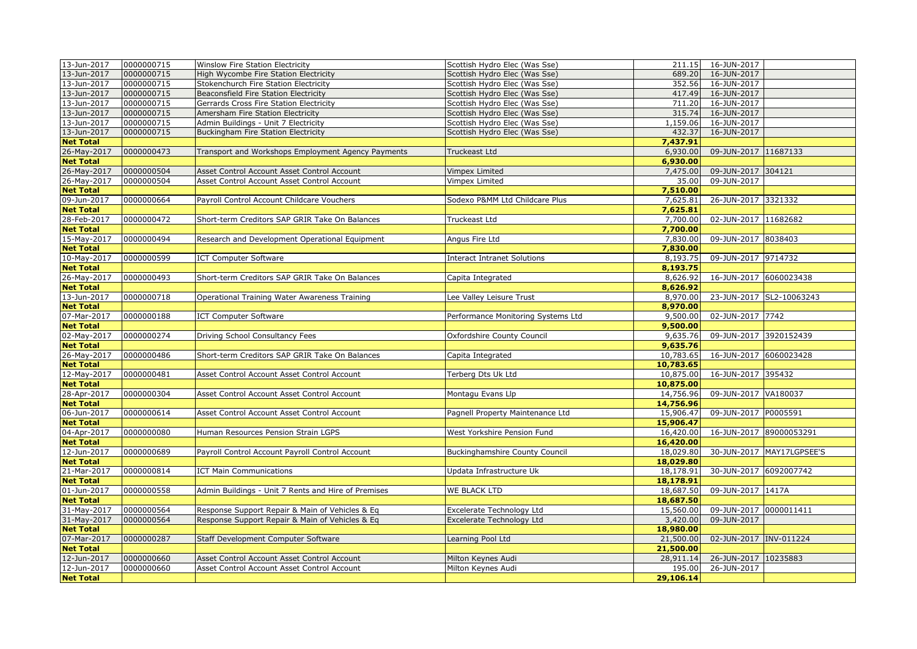| 13-Jun-2017                     | 0000000715 | Winslow Fire Station Electricity                    | Scottish Hydro Elec (Was Sse)         |                     | 211.15 16-JUN-2017        |                          |
|---------------------------------|------------|-----------------------------------------------------|---------------------------------------|---------------------|---------------------------|--------------------------|
| 13-Jun-2017                     | 0000000715 | High Wycombe Fire Station Electricity               | Scottish Hydro Elec (Was Sse)         | 689.20              | 16-JUN-2017               |                          |
| 13-Jun-2017                     | 0000000715 | Stokenchurch Fire Station Electricity               | Scottish Hydro Elec (Was Sse)         | 352.56              | 16-JUN-2017               |                          |
| 13-Jun-2017                     | 0000000715 | Beaconsfield Fire Station Electricity               | Scottish Hydro Elec (Was Sse)         | 417.49              | 16-JUN-2017               |                          |
| 13-Jun-2017                     | 0000000715 | Gerrards Cross Fire Station Electricity             | Scottish Hydro Elec (Was Sse)         | 711.20              | 16-JUN-2017               |                          |
| 13-Jun-2017                     | 0000000715 | Amersham Fire Station Electricity                   | Scottish Hydro Elec (Was Sse)         | 315.74              | 16-JUN-2017               |                          |
| 13-Jun-2017                     | 0000000715 | Admin Buildings - Unit 7 Electricity                | Scottish Hydro Elec (Was Sse)         | 1,159.06            | 16-JUN-2017               |                          |
| 13-Jun-2017                     | 0000000715 | <b>Buckingham Fire Station Electricity</b>          | Scottish Hydro Elec (Was Sse)         | 432.37              | 16-JUN-2017               |                          |
| <b>Net Total</b>                |            |                                                     |                                       | 7,437.91            |                           |                          |
| 26-May-2017                     | 0000000473 | Transport and Workshops Employment Agency Payments  | Truckeast Ltd                         | 6,930.00            | 09-JUN-2017 11687133      |                          |
| <b>Net Total</b>                |            |                                                     |                                       | 6,930.00            |                           |                          |
| 26-May-2017                     | 0000000504 | Asset Control Account Asset Control Account         | <b>Vimpex Limited</b>                 | 7,475.00            | 09-JUN-2017 304121        |                          |
| 26-May-2017                     | 0000000504 | Asset Control Account Asset Control Account         | Vimpex Limited                        | 35.00               | 09-JUN-2017               |                          |
| <b>Net Total</b>                |            |                                                     |                                       | 7,510.00            |                           |                          |
| 09-Jun-2017                     | 0000000664 | Payroll Control Account Childcare Vouchers          | Sodexo P&MM Ltd Childcare Plus        | 7,625.81            | 26-JUN-2017 3321332       |                          |
| <b>Net Total</b>                |            |                                                     |                                       | 7,625.81            |                           |                          |
| 28-Feb-2017                     | 0000000472 | Short-term Creditors SAP GRIR Take On Balances      | Truckeast Ltd                         | 7,700.00            | 02-JUN-2017 11682682      |                          |
| <b>Net Total</b>                |            |                                                     |                                       | 7,700.00            |                           |                          |
| 15-May-2017                     | 0000000494 | Research and Development Operational Equipment      | Angus Fire Ltd                        | 7,830.00            | 09-JUN-2017 8038403       |                          |
| <b>Net Total</b>                |            |                                                     |                                       | 7,830.00            |                           |                          |
| 10-May-2017                     | 0000000599 | <b>ICT Computer Software</b>                        | <b>Interact Intranet Solutions</b>    | 8,193.75            | 09-JUN-2017 9714732       |                          |
| <b>Net Total</b>                |            |                                                     |                                       | 8,193,75            |                           |                          |
| 26-May-2017                     | 0000000493 | Short-term Creditors SAP GRIR Take On Balances      | Capita Integrated                     | 8,626.92            | 16-JUN-2017 6060023438    |                          |
| <b>Net Total</b>                |            |                                                     |                                       | 8,626.92            |                           |                          |
| 13-Jun-2017                     | 0000000718 | Operational Training Water Awareness Training       | Lee Valley Leisure Trust              | 8,970.00            |                           | 23-JUN-2017 SL2-10063243 |
| <b>Net Total</b>                |            |                                                     |                                       | 8,970.00            |                           |                          |
| 07-Mar-2017                     | 0000000188 | <b>ICT Computer Software</b>                        | Performance Monitoring Systems Ltd    | 9,500.00            | 02-JUN-2017 7742          |                          |
| <b>Net Total</b>                |            |                                                     |                                       | 9,500.00            |                           |                          |
| 02-May-2017                     | 0000000274 | Driving School Consultancy Fees                     | Oxfordshire County Council            | 9,635.76            | 09-JUN-2017 3920152439    |                          |
| <b>Net Total</b>                |            |                                                     |                                       | 9,635.76            |                           |                          |
| 26-May-2017                     | 0000000486 | Short-term Creditors SAP GRIR Take On Balances      | Capita Integrated                     | 10,783.65           | 16-JUN-2017 6060023428    |                          |
| <b>Net Total</b>                |            |                                                     |                                       | 10,783.65           |                           |                          |
| 12-May-2017                     | 0000000481 | Asset Control Account Asset Control Account         | Terberg Dts Uk Ltd                    | 10,875.00           | 16-JUN-2017 395432        |                          |
| <b>Net Total</b>                |            |                                                     |                                       | 10,875.00           |                           |                          |
| 28-Apr-2017                     | 0000000304 | Asset Control Account Asset Control Account         | Montagu Evans Llp                     | 14,756.96           | 09-JUN-2017 VA180037      |                          |
| <b>Net Total</b>                |            |                                                     |                                       | 14,756.96           |                           |                          |
| 06-Jun-2017                     | 0000000614 | Asset Control Account Asset Control Account         | Pagnell Property Maintenance Ltd      | 15,906.47           | 09-JUN-2017 P0005591      |                          |
| <b>Net Total</b>                |            |                                                     |                                       | 15,906.47           |                           |                          |
| 04-Apr-2017                     | 0000000080 | Human Resources Pension Strain LGPS                 | West Yorkshire Pension Fund           | 16,420.00           | 16-JUN-2017 89000053291   |                          |
| <b>Net Total</b>                |            | Payroll Control Account Payroll Control Account     |                                       | 16,420.00           |                           |                          |
| 12-Jun-2017                     | 0000000689 |                                                     |                                       |                     |                           |                          |
| <b>Net Total</b>                |            |                                                     | <b>Buckinghamshire County Council</b> | 18,029.80           | 30-JUN-2017 MAY17LGPSEE'S |                          |
| 21-Mar-2017                     |            |                                                     |                                       | 18,029.80           |                           |                          |
| <b>Net Total</b>                | 0000000814 | <b>ICT Main Communications</b>                      | Updata Infrastructure Uk              | 18,178.91           | 30-JUN-2017 6092007742    |                          |
|                                 |            |                                                     |                                       | 18,178.91           |                           |                          |
| 01-Jun-2017                     | 0000000558 | Admin Buildings - Unit 7 Rents and Hire of Premises | <b>WE BLACK LTD</b>                   | 18,687.50           | 09-JUN-2017 1417A         |                          |
| <b>Net Total</b>                |            |                                                     |                                       | 18,687.50           |                           |                          |
| 31-May-2017                     | 0000000564 | Response Support Repair & Main of Vehicles & Eq     | Excelerate Technology Ltd             | 15,560.00           | 09-JUN-2017 0000011411    |                          |
| 31-May-2017                     | 0000000564 | Response Support Repair & Main of Vehicles & Eq     | Excelerate Technology Ltd             | 3,420.00            | 09-JUN-2017               |                          |
| <b>Net Total</b>                |            |                                                     |                                       | 18,980.00           |                           |                          |
| 07-Mar-2017                     | 0000000287 | Staff Development Computer Software                 | Learning Pool Ltd                     | 21,500.00           | 02-JUN-2017 INV-011224    |                          |
| <b>Net Total</b>                |            |                                                     |                                       | 21,500.00           |                           |                          |
| 12-Jun-2017                     | 0000000660 | Asset Control Account Asset Control Account         | Milton Keynes Audi                    | 28,911.14           | 26-JUN-2017 10235883      |                          |
| 12-Jun-2017<br><b>Net Total</b> | 0000000660 | Asset Control Account Asset Control Account         | Milton Keynes Audi                    | 195.00<br>29,106.14 | 26-JUN-2017               |                          |